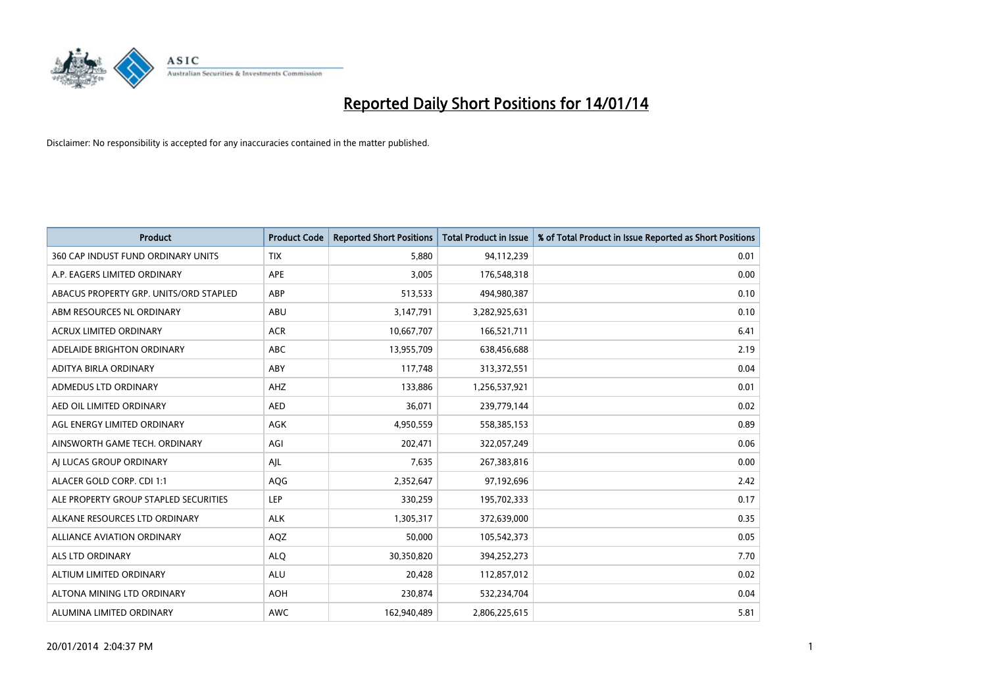

| <b>Product</b>                         | <b>Product Code</b> | <b>Reported Short Positions</b> | <b>Total Product in Issue</b> | % of Total Product in Issue Reported as Short Positions |
|----------------------------------------|---------------------|---------------------------------|-------------------------------|---------------------------------------------------------|
| 360 CAP INDUST FUND ORDINARY UNITS     | <b>TIX</b>          | 5,880                           | 94,112,239                    | 0.01                                                    |
| A.P. EAGERS LIMITED ORDINARY           | APE                 | 3,005                           | 176,548,318                   | 0.00                                                    |
| ABACUS PROPERTY GRP. UNITS/ORD STAPLED | ABP                 | 513,533                         | 494,980,387                   | 0.10                                                    |
| ABM RESOURCES NL ORDINARY              | ABU                 | 3,147,791                       | 3,282,925,631                 | 0.10                                                    |
| <b>ACRUX LIMITED ORDINARY</b>          | <b>ACR</b>          | 10,667,707                      | 166,521,711                   | 6.41                                                    |
| ADELAIDE BRIGHTON ORDINARY             | <b>ABC</b>          | 13,955,709                      | 638,456,688                   | 2.19                                                    |
| ADITYA BIRLA ORDINARY                  | ABY                 | 117,748                         | 313,372,551                   | 0.04                                                    |
| ADMEDUS LTD ORDINARY                   | AHZ                 | 133,886                         | 1,256,537,921                 | 0.01                                                    |
| AED OIL LIMITED ORDINARY               | <b>AED</b>          | 36,071                          | 239,779,144                   | 0.02                                                    |
| AGL ENERGY LIMITED ORDINARY            | <b>AGK</b>          | 4,950,559                       | 558,385,153                   | 0.89                                                    |
| AINSWORTH GAME TECH. ORDINARY          | AGI                 | 202,471                         | 322,057,249                   | 0.06                                                    |
| AI LUCAS GROUP ORDINARY                | AJL                 | 7,635                           | 267,383,816                   | 0.00                                                    |
| ALACER GOLD CORP. CDI 1:1              | AQG                 | 2,352,647                       | 97,192,696                    | 2.42                                                    |
| ALE PROPERTY GROUP STAPLED SECURITIES  | <b>LEP</b>          | 330,259                         | 195,702,333                   | 0.17                                                    |
| ALKANE RESOURCES LTD ORDINARY          | <b>ALK</b>          | 1,305,317                       | 372,639,000                   | 0.35                                                    |
| ALLIANCE AVIATION ORDINARY             | AQZ                 | 50,000                          | 105,542,373                   | 0.05                                                    |
| <b>ALS LTD ORDINARY</b>                | <b>ALQ</b>          | 30,350,820                      | 394,252,273                   | 7.70                                                    |
| ALTIUM LIMITED ORDINARY                | ALU                 | 20,428                          | 112,857,012                   | 0.02                                                    |
| ALTONA MINING LTD ORDINARY             | <b>AOH</b>          | 230,874                         | 532,234,704                   | 0.04                                                    |
| ALUMINA LIMITED ORDINARY               | <b>AWC</b>          | 162,940,489                     | 2,806,225,615                 | 5.81                                                    |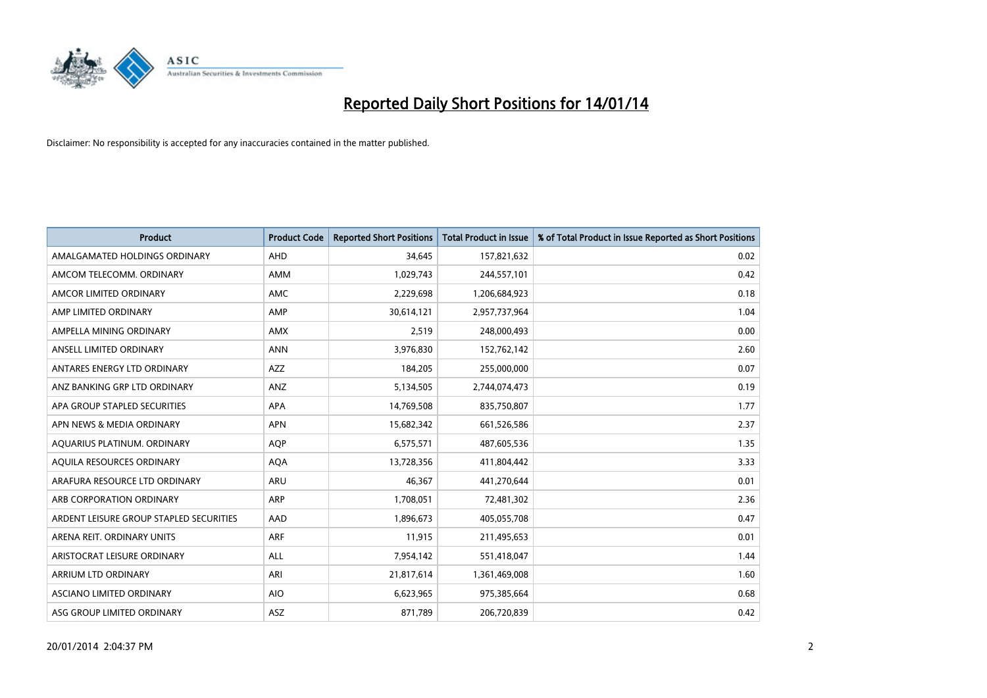

| <b>Product</b>                          | <b>Product Code</b> | <b>Reported Short Positions</b> | <b>Total Product in Issue</b> | % of Total Product in Issue Reported as Short Positions |
|-----------------------------------------|---------------------|---------------------------------|-------------------------------|---------------------------------------------------------|
| AMALGAMATED HOLDINGS ORDINARY           | AHD                 | 34,645                          | 157,821,632                   | 0.02                                                    |
| AMCOM TELECOMM, ORDINARY                | AMM                 | 1,029,743                       | 244,557,101                   | 0.42                                                    |
| AMCOR LIMITED ORDINARY                  | AMC                 | 2,229,698                       | 1,206,684,923                 | 0.18                                                    |
| AMP LIMITED ORDINARY                    | AMP                 | 30,614,121                      | 2,957,737,964                 | 1.04                                                    |
| AMPELLA MINING ORDINARY                 | AMX                 | 2,519                           | 248,000,493                   | 0.00                                                    |
| ANSELL LIMITED ORDINARY                 | <b>ANN</b>          | 3,976,830                       | 152,762,142                   | 2.60                                                    |
| ANTARES ENERGY LTD ORDINARY             | AZZ                 | 184,205                         | 255,000,000                   | 0.07                                                    |
| ANZ BANKING GRP LTD ORDINARY            | ANZ                 | 5,134,505                       | 2,744,074,473                 | 0.19                                                    |
| APA GROUP STAPLED SECURITIES            | APA                 | 14,769,508                      | 835,750,807                   | 1.77                                                    |
| APN NEWS & MEDIA ORDINARY               | <b>APN</b>          | 15,682,342                      | 661,526,586                   | 2.37                                                    |
| AQUARIUS PLATINUM. ORDINARY             | AQP                 | 6,575,571                       | 487,605,536                   | 1.35                                                    |
| AQUILA RESOURCES ORDINARY               | <b>AQA</b>          | 13,728,356                      | 411,804,442                   | 3.33                                                    |
| ARAFURA RESOURCE LTD ORDINARY           | <b>ARU</b>          | 46,367                          | 441,270,644                   | 0.01                                                    |
| ARB CORPORATION ORDINARY                | ARP                 | 1,708,051                       | 72,481,302                    | 2.36                                                    |
| ARDENT LEISURE GROUP STAPLED SECURITIES | AAD                 | 1,896,673                       | 405,055,708                   | 0.47                                                    |
| ARENA REIT. ORDINARY UNITS              | <b>ARF</b>          | 11,915                          | 211,495,653                   | 0.01                                                    |
| ARISTOCRAT LEISURE ORDINARY             | ALL                 | 7,954,142                       | 551,418,047                   | 1.44                                                    |
| ARRIUM LTD ORDINARY                     | ARI                 | 21,817,614                      | 1,361,469,008                 | 1.60                                                    |
| ASCIANO LIMITED ORDINARY                | <b>AIO</b>          | 6,623,965                       | 975,385,664                   | 0.68                                                    |
| ASG GROUP LIMITED ORDINARY              | ASZ                 | 871,789                         | 206,720,839                   | 0.42                                                    |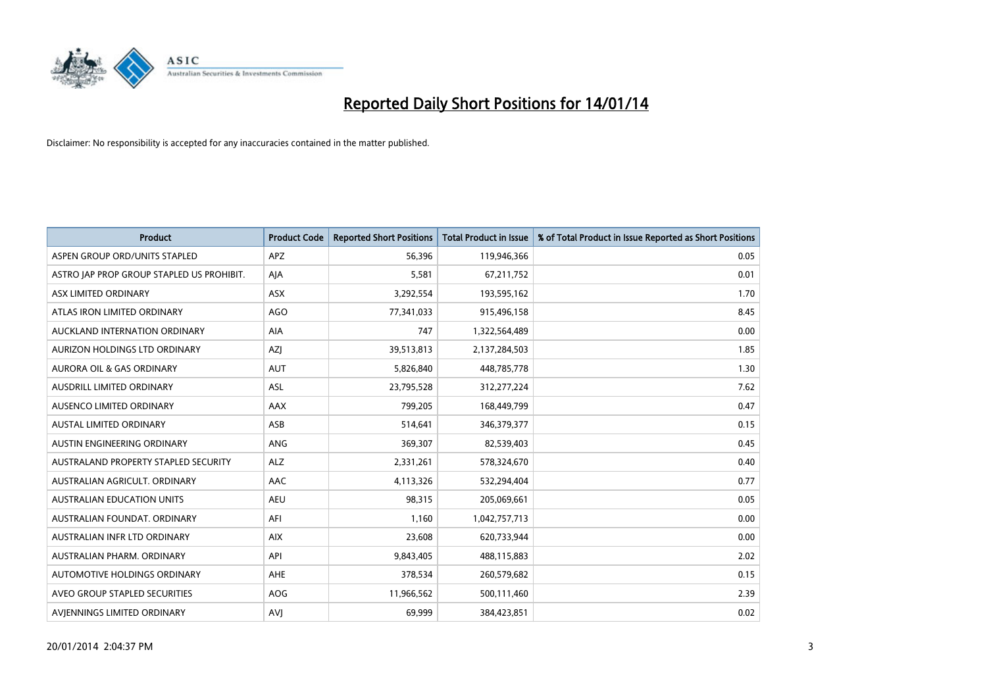

| <b>Product</b>                            | <b>Product Code</b> | <b>Reported Short Positions</b> | <b>Total Product in Issue</b> | % of Total Product in Issue Reported as Short Positions |
|-------------------------------------------|---------------------|---------------------------------|-------------------------------|---------------------------------------------------------|
| ASPEN GROUP ORD/UNITS STAPLED             | <b>APZ</b>          | 56,396                          | 119,946,366                   | 0.05                                                    |
| ASTRO JAP PROP GROUP STAPLED US PROHIBIT. | AJA                 | 5,581                           | 67,211,752                    | 0.01                                                    |
| ASX LIMITED ORDINARY                      | <b>ASX</b>          | 3,292,554                       | 193,595,162                   | 1.70                                                    |
| ATLAS IRON LIMITED ORDINARY               | AGO                 | 77,341,033                      | 915,496,158                   | 8.45                                                    |
| AUCKLAND INTERNATION ORDINARY             | AIA                 | 747                             | 1,322,564,489                 | 0.00                                                    |
| AURIZON HOLDINGS LTD ORDINARY             | AZJ                 | 39,513,813                      | 2,137,284,503                 | 1.85                                                    |
| <b>AURORA OIL &amp; GAS ORDINARY</b>      | <b>AUT</b>          | 5,826,840                       | 448,785,778                   | 1.30                                                    |
| AUSDRILL LIMITED ORDINARY                 | ASL                 | 23,795,528                      | 312,277,224                   | 7.62                                                    |
| AUSENCO LIMITED ORDINARY                  | AAX                 | 799,205                         | 168,449,799                   | 0.47                                                    |
| <b>AUSTAL LIMITED ORDINARY</b>            | ASB                 | 514,641                         | 346,379,377                   | 0.15                                                    |
| AUSTIN ENGINEERING ORDINARY               | ANG                 | 369,307                         | 82,539,403                    | 0.45                                                    |
| AUSTRALAND PROPERTY STAPLED SECURITY      | <b>ALZ</b>          | 2,331,261                       | 578,324,670                   | 0.40                                                    |
| AUSTRALIAN AGRICULT. ORDINARY             | AAC                 | 4,113,326                       | 532,294,404                   | 0.77                                                    |
| AUSTRALIAN EDUCATION UNITS                | <b>AEU</b>          | 98,315                          | 205,069,661                   | 0.05                                                    |
| AUSTRALIAN FOUNDAT, ORDINARY              | AFI                 | 1,160                           | 1,042,757,713                 | 0.00                                                    |
| AUSTRALIAN INFR LTD ORDINARY              | <b>AIX</b>          | 23,608                          | 620,733,944                   | 0.00                                                    |
| AUSTRALIAN PHARM. ORDINARY                | API                 | 9,843,405                       | 488,115,883                   | 2.02                                                    |
| AUTOMOTIVE HOLDINGS ORDINARY              | AHE                 | 378,534                         | 260,579,682                   | 0.15                                                    |
| AVEO GROUP STAPLED SECURITIES             | <b>AOG</b>          | 11,966,562                      | 500,111,460                   | 2.39                                                    |
| AVIENNINGS LIMITED ORDINARY               | <b>AVJ</b>          | 69,999                          | 384,423,851                   | 0.02                                                    |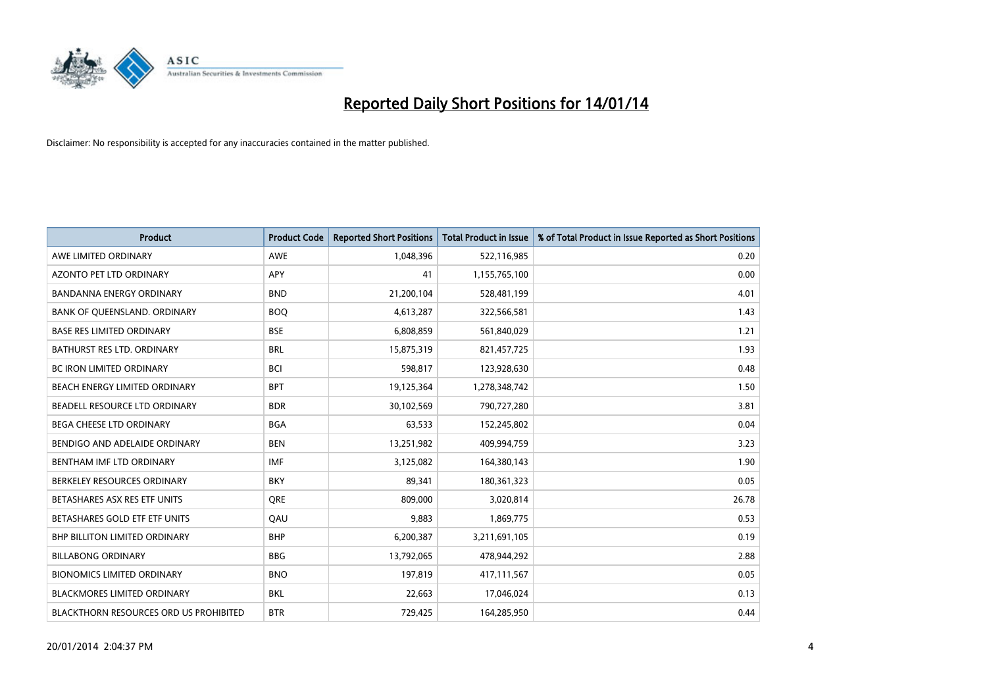

| <b>Product</b>                         | <b>Product Code</b> | <b>Reported Short Positions</b> | <b>Total Product in Issue</b> | % of Total Product in Issue Reported as Short Positions |
|----------------------------------------|---------------------|---------------------------------|-------------------------------|---------------------------------------------------------|
| AWE LIMITED ORDINARY                   | <b>AWE</b>          | 1,048,396                       | 522,116,985                   | 0.20                                                    |
| AZONTO PET LTD ORDINARY                | APY                 | 41                              | 1,155,765,100                 | 0.00                                                    |
| <b>BANDANNA ENERGY ORDINARY</b>        | <b>BND</b>          | 21,200,104                      | 528,481,199                   | 4.01                                                    |
| BANK OF QUEENSLAND. ORDINARY           | <b>BOQ</b>          | 4,613,287                       | 322,566,581                   | 1.43                                                    |
| <b>BASE RES LIMITED ORDINARY</b>       | <b>BSE</b>          | 6,808,859                       | 561,840,029                   | 1.21                                                    |
| BATHURST RES LTD. ORDINARY             | <b>BRL</b>          | 15,875,319                      | 821,457,725                   | 1.93                                                    |
| <b>BC IRON LIMITED ORDINARY</b>        | <b>BCI</b>          | 598,817                         | 123,928,630                   | 0.48                                                    |
| BEACH ENERGY LIMITED ORDINARY          | <b>BPT</b>          | 19,125,364                      | 1,278,348,742                 | 1.50                                                    |
| BEADELL RESOURCE LTD ORDINARY          | <b>BDR</b>          | 30,102,569                      | 790,727,280                   | 3.81                                                    |
| <b>BEGA CHEESE LTD ORDINARY</b>        | <b>BGA</b>          | 63,533                          | 152,245,802                   | 0.04                                                    |
| BENDIGO AND ADELAIDE ORDINARY          | <b>BEN</b>          | 13,251,982                      | 409,994,759                   | 3.23                                                    |
| BENTHAM IMF LTD ORDINARY               | <b>IMF</b>          | 3,125,082                       | 164,380,143                   | 1.90                                                    |
| BERKELEY RESOURCES ORDINARY            | <b>BKY</b>          | 89,341                          | 180,361,323                   | 0.05                                                    |
| BETASHARES ASX RES ETF UNITS           | <b>ORE</b>          | 809,000                         | 3,020,814                     | 26.78                                                   |
| BETASHARES GOLD ETF ETF UNITS          | QAU                 | 9,883                           | 1,869,775                     | 0.53                                                    |
| <b>BHP BILLITON LIMITED ORDINARY</b>   | <b>BHP</b>          | 6,200,387                       | 3,211,691,105                 | 0.19                                                    |
| <b>BILLABONG ORDINARY</b>              | <b>BBG</b>          | 13,792,065                      | 478,944,292                   | 2.88                                                    |
| <b>BIONOMICS LIMITED ORDINARY</b>      | <b>BNO</b>          | 197,819                         | 417,111,567                   | 0.05                                                    |
| <b>BLACKMORES LIMITED ORDINARY</b>     | <b>BKL</b>          | 22,663                          | 17,046,024                    | 0.13                                                    |
| BLACKTHORN RESOURCES ORD US PROHIBITED | <b>BTR</b>          | 729,425                         | 164,285,950                   | 0.44                                                    |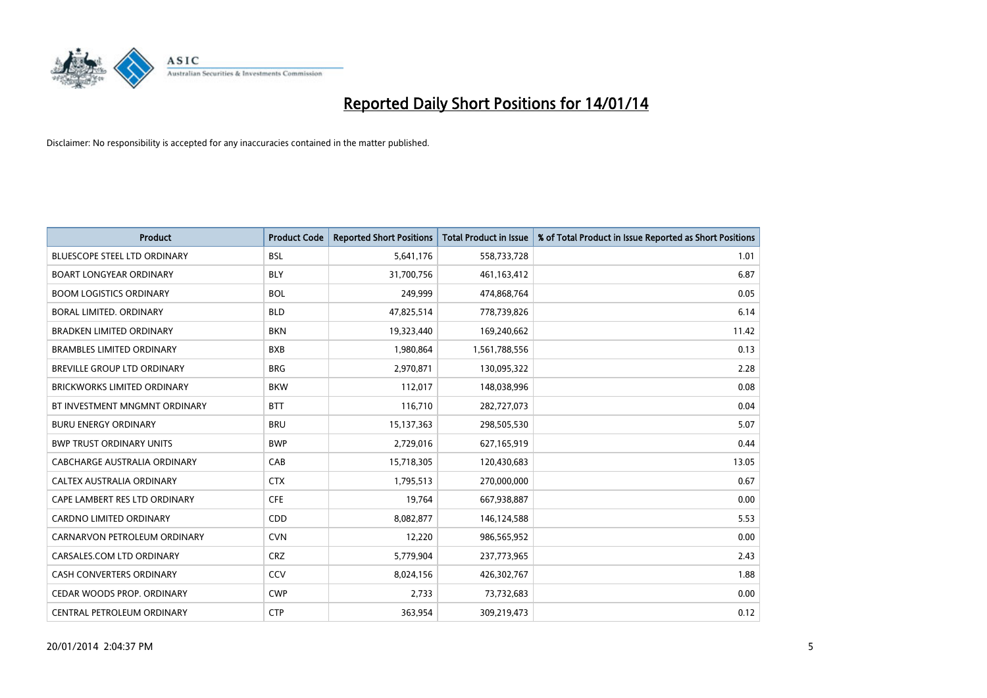

| <b>Product</b>                      | <b>Product Code</b> | <b>Reported Short Positions</b> | <b>Total Product in Issue</b> | % of Total Product in Issue Reported as Short Positions |
|-------------------------------------|---------------------|---------------------------------|-------------------------------|---------------------------------------------------------|
| <b>BLUESCOPE STEEL LTD ORDINARY</b> | <b>BSL</b>          | 5,641,176                       | 558,733,728                   | 1.01                                                    |
| <b>BOART LONGYEAR ORDINARY</b>      | <b>BLY</b>          | 31,700,756                      | 461,163,412                   | 6.87                                                    |
| <b>BOOM LOGISTICS ORDINARY</b>      | <b>BOL</b>          | 249,999                         | 474,868,764                   | 0.05                                                    |
| BORAL LIMITED. ORDINARY             | <b>BLD</b>          | 47,825,514                      | 778,739,826                   | 6.14                                                    |
| <b>BRADKEN LIMITED ORDINARY</b>     | <b>BKN</b>          | 19,323,440                      | 169,240,662                   | 11.42                                                   |
| <b>BRAMBLES LIMITED ORDINARY</b>    | <b>BXB</b>          | 1,980,864                       | 1,561,788,556                 | 0.13                                                    |
| BREVILLE GROUP LTD ORDINARY         | <b>BRG</b>          | 2,970,871                       | 130,095,322                   | 2.28                                                    |
| <b>BRICKWORKS LIMITED ORDINARY</b>  | <b>BKW</b>          | 112,017                         | 148,038,996                   | 0.08                                                    |
| BT INVESTMENT MNGMNT ORDINARY       | <b>BTT</b>          | 116,710                         | 282,727,073                   | 0.04                                                    |
| <b>BURU ENERGY ORDINARY</b>         | <b>BRU</b>          | 15,137,363                      | 298,505,530                   | 5.07                                                    |
| <b>BWP TRUST ORDINARY UNITS</b>     | <b>BWP</b>          | 2,729,016                       | 627,165,919                   | 0.44                                                    |
| CABCHARGE AUSTRALIA ORDINARY        | CAB                 | 15,718,305                      | 120,430,683                   | 13.05                                                   |
| CALTEX AUSTRALIA ORDINARY           | <b>CTX</b>          | 1,795,513                       | 270,000,000                   | 0.67                                                    |
| CAPE LAMBERT RES LTD ORDINARY       | <b>CFE</b>          | 19,764                          | 667,938,887                   | 0.00                                                    |
| <b>CARDNO LIMITED ORDINARY</b>      | CDD                 | 8,082,877                       | 146,124,588                   | 5.53                                                    |
| CARNARVON PETROLEUM ORDINARY        | <b>CVN</b>          | 12,220                          | 986,565,952                   | 0.00                                                    |
| CARSALES.COM LTD ORDINARY           | <b>CRZ</b>          | 5,779,904                       | 237,773,965                   | 2.43                                                    |
| CASH CONVERTERS ORDINARY            | CCV                 | 8,024,156                       | 426,302,767                   | 1.88                                                    |
| CEDAR WOODS PROP. ORDINARY          | <b>CWP</b>          | 2,733                           | 73,732,683                    | 0.00                                                    |
| CENTRAL PETROLEUM ORDINARY          | <b>CTP</b>          | 363,954                         | 309,219,473                   | 0.12                                                    |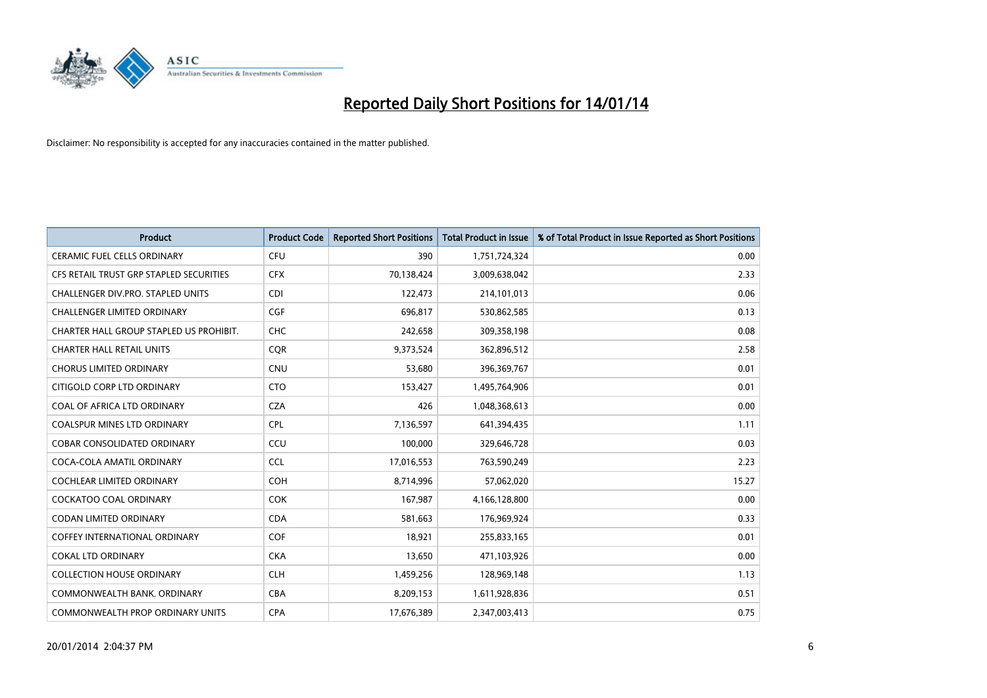

| <b>Product</b>                          | <b>Product Code</b> | <b>Reported Short Positions</b> | <b>Total Product in Issue</b> | % of Total Product in Issue Reported as Short Positions |
|-----------------------------------------|---------------------|---------------------------------|-------------------------------|---------------------------------------------------------|
| <b>CERAMIC FUEL CELLS ORDINARY</b>      | <b>CFU</b>          | 390                             | 1,751,724,324                 | 0.00                                                    |
| CFS RETAIL TRUST GRP STAPLED SECURITIES | <b>CFX</b>          | 70,138,424                      | 3,009,638,042                 | 2.33                                                    |
| CHALLENGER DIV.PRO. STAPLED UNITS       | <b>CDI</b>          | 122,473                         | 214,101,013                   | 0.06                                                    |
| <b>CHALLENGER LIMITED ORDINARY</b>      | <b>CGF</b>          | 696,817                         | 530,862,585                   | 0.13                                                    |
| CHARTER HALL GROUP STAPLED US PROHIBIT. | <b>CHC</b>          | 242,658                         | 309,358,198                   | 0.08                                                    |
| <b>CHARTER HALL RETAIL UNITS</b>        | CQR                 | 9,373,524                       | 362,896,512                   | 2.58                                                    |
| <b>CHORUS LIMITED ORDINARY</b>          | <b>CNU</b>          | 53,680                          | 396,369,767                   | 0.01                                                    |
| CITIGOLD CORP LTD ORDINARY              | <b>CTO</b>          | 153,427                         | 1,495,764,906                 | 0.01                                                    |
| COAL OF AFRICA LTD ORDINARY             | <b>CZA</b>          | 426                             | 1,048,368,613                 | 0.00                                                    |
| <b>COALSPUR MINES LTD ORDINARY</b>      | <b>CPL</b>          | 7,136,597                       | 641,394,435                   | 1.11                                                    |
| <b>COBAR CONSOLIDATED ORDINARY</b>      | CCU                 | 100,000                         | 329,646,728                   | 0.03                                                    |
| COCA-COLA AMATIL ORDINARY               | <b>CCL</b>          | 17,016,553                      | 763,590,249                   | 2.23                                                    |
| <b>COCHLEAR LIMITED ORDINARY</b>        | <b>COH</b>          | 8,714,996                       | 57,062,020                    | 15.27                                                   |
| <b>COCKATOO COAL ORDINARY</b>           | COK                 | 167,987                         | 4,166,128,800                 | 0.00                                                    |
| <b>CODAN LIMITED ORDINARY</b>           | <b>CDA</b>          | 581,663                         | 176,969,924                   | 0.33                                                    |
| <b>COFFEY INTERNATIONAL ORDINARY</b>    | <b>COF</b>          | 18,921                          | 255,833,165                   | 0.01                                                    |
| <b>COKAL LTD ORDINARY</b>               | <b>CKA</b>          | 13,650                          | 471,103,926                   | 0.00                                                    |
| <b>COLLECTION HOUSE ORDINARY</b>        | <b>CLH</b>          | 1,459,256                       | 128,969,148                   | 1.13                                                    |
| COMMONWEALTH BANK, ORDINARY             | <b>CBA</b>          | 8,209,153                       | 1,611,928,836                 | 0.51                                                    |
| COMMONWEALTH PROP ORDINARY UNITS        | <b>CPA</b>          | 17,676,389                      | 2,347,003,413                 | 0.75                                                    |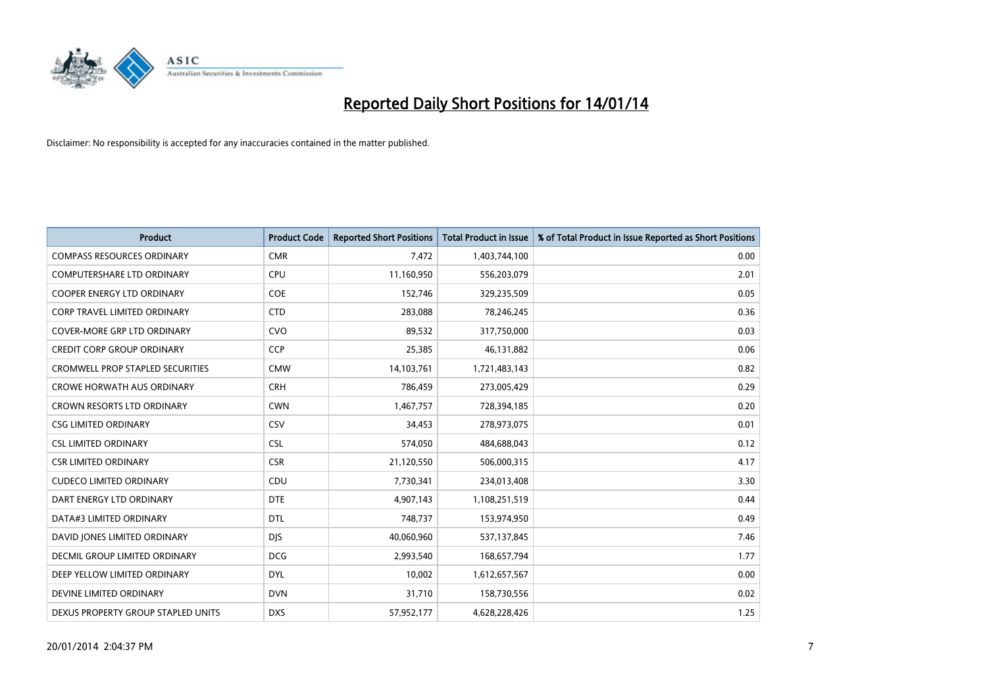

| <b>Product</b>                          | <b>Product Code</b> | <b>Reported Short Positions</b> | Total Product in Issue | % of Total Product in Issue Reported as Short Positions |
|-----------------------------------------|---------------------|---------------------------------|------------------------|---------------------------------------------------------|
| <b>COMPASS RESOURCES ORDINARY</b>       | <b>CMR</b>          | 7,472                           | 1,403,744,100          | 0.00                                                    |
| COMPUTERSHARE LTD ORDINARY              | <b>CPU</b>          | 11,160,950                      | 556,203,079            | 2.01                                                    |
| <b>COOPER ENERGY LTD ORDINARY</b>       | <b>COE</b>          | 152,746                         | 329,235,509            | 0.05                                                    |
| CORP TRAVEL LIMITED ORDINARY            | <b>CTD</b>          | 283,088                         | 78,246,245             | 0.36                                                    |
| <b>COVER-MORE GRP LTD ORDINARY</b>      | <b>CVO</b>          | 89,532                          | 317,750,000            | 0.03                                                    |
| <b>CREDIT CORP GROUP ORDINARY</b>       | <b>CCP</b>          | 25,385                          | 46,131,882             | 0.06                                                    |
| <b>CROMWELL PROP STAPLED SECURITIES</b> | <b>CMW</b>          | 14,103,761                      | 1,721,483,143          | 0.82                                                    |
| <b>CROWE HORWATH AUS ORDINARY</b>       | <b>CRH</b>          | 786,459                         | 273,005,429            | 0.29                                                    |
| CROWN RESORTS LTD ORDINARY              | <b>CWN</b>          | 1,467,757                       | 728,394,185            | 0.20                                                    |
| <b>CSG LIMITED ORDINARY</b>             | CSV                 | 34,453                          | 278,973,075            | 0.01                                                    |
| <b>CSL LIMITED ORDINARY</b>             | <b>CSL</b>          | 574,050                         | 484,688,043            | 0.12                                                    |
| <b>CSR LIMITED ORDINARY</b>             | <b>CSR</b>          | 21,120,550                      | 506,000,315            | 4.17                                                    |
| <b>CUDECO LIMITED ORDINARY</b>          | CDU                 | 7,730,341                       | 234,013,408            | 3.30                                                    |
| DART ENERGY LTD ORDINARY                | <b>DTE</b>          | 4,907,143                       | 1,108,251,519          | 0.44                                                    |
| DATA#3 LIMITED ORDINARY                 | <b>DTL</b>          | 748,737                         | 153,974,950            | 0.49                                                    |
| DAVID JONES LIMITED ORDINARY            | <b>DJS</b>          | 40,060,960                      | 537,137,845            | 7.46                                                    |
| <b>DECMIL GROUP LIMITED ORDINARY</b>    | <b>DCG</b>          | 2,993,540                       | 168,657,794            | 1.77                                                    |
| DEEP YELLOW LIMITED ORDINARY            | <b>DYL</b>          | 10,002                          | 1,612,657,567          | 0.00                                                    |
| DEVINE LIMITED ORDINARY                 | <b>DVN</b>          | 31,710                          | 158,730,556            | 0.02                                                    |
| DEXUS PROPERTY GROUP STAPLED UNITS      | <b>DXS</b>          | 57,952,177                      | 4,628,228,426          | 1.25                                                    |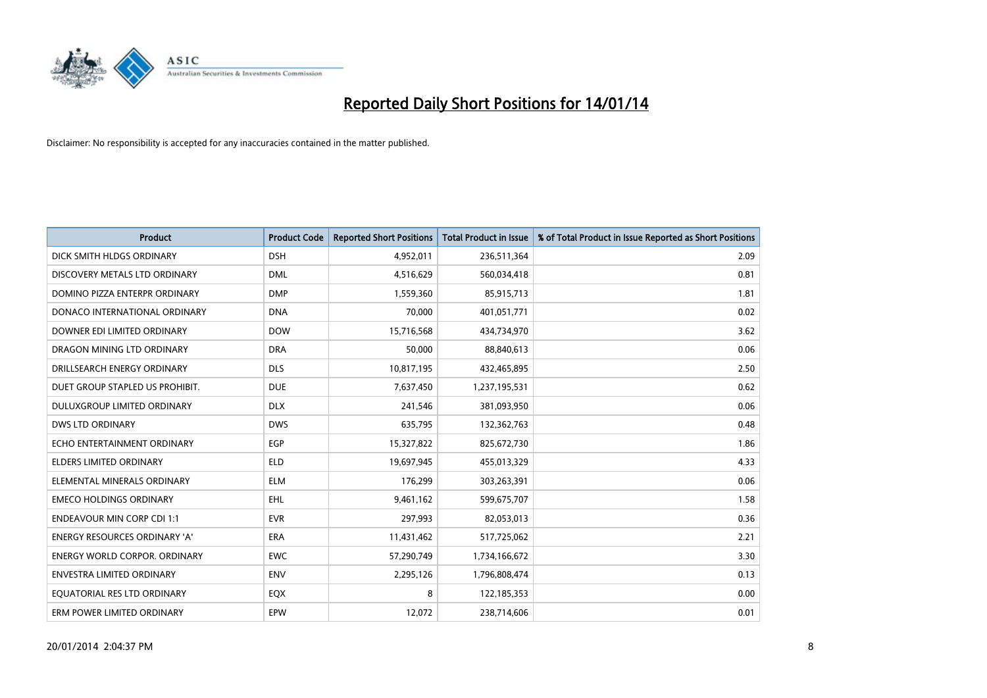

| <b>Product</b>                       | <b>Product Code</b> | <b>Reported Short Positions</b> | <b>Total Product in Issue</b> | % of Total Product in Issue Reported as Short Positions |
|--------------------------------------|---------------------|---------------------------------|-------------------------------|---------------------------------------------------------|
| DICK SMITH HLDGS ORDINARY            | <b>DSH</b>          | 4,952,011                       | 236,511,364                   | 2.09                                                    |
| DISCOVERY METALS LTD ORDINARY        | <b>DML</b>          | 4,516,629                       | 560,034,418                   | 0.81                                                    |
| DOMINO PIZZA ENTERPR ORDINARY        | <b>DMP</b>          | 1,559,360                       | 85,915,713                    | 1.81                                                    |
| DONACO INTERNATIONAL ORDINARY        | <b>DNA</b>          | 70,000                          | 401,051,771                   | 0.02                                                    |
| DOWNER EDI LIMITED ORDINARY          | <b>DOW</b>          | 15,716,568                      | 434,734,970                   | 3.62                                                    |
| DRAGON MINING LTD ORDINARY           | <b>DRA</b>          | 50,000                          | 88,840,613                    | 0.06                                                    |
| DRILLSEARCH ENERGY ORDINARY          | <b>DLS</b>          | 10,817,195                      | 432,465,895                   | 2.50                                                    |
| DUET GROUP STAPLED US PROHIBIT.      | <b>DUE</b>          | 7,637,450                       | 1,237,195,531                 | 0.62                                                    |
| DULUXGROUP LIMITED ORDINARY          | <b>DLX</b>          | 241,546                         | 381,093,950                   | 0.06                                                    |
| <b>DWS LTD ORDINARY</b>              | <b>DWS</b>          | 635,795                         | 132,362,763                   | 0.48                                                    |
| ECHO ENTERTAINMENT ORDINARY          | <b>EGP</b>          | 15,327,822                      | 825,672,730                   | 1.86                                                    |
| <b>ELDERS LIMITED ORDINARY</b>       | <b>ELD</b>          | 19,697,945                      | 455,013,329                   | 4.33                                                    |
| ELEMENTAL MINERALS ORDINARY          | <b>ELM</b>          | 176,299                         | 303,263,391                   | 0.06                                                    |
| <b>EMECO HOLDINGS ORDINARY</b>       | <b>EHL</b>          | 9,461,162                       | 599,675,707                   | 1.58                                                    |
| <b>ENDEAVOUR MIN CORP CDI 1:1</b>    | <b>EVR</b>          | 297,993                         | 82,053,013                    | 0.36                                                    |
| <b>ENERGY RESOURCES ORDINARY 'A'</b> | ERA                 | 11,431,462                      | 517,725,062                   | 2.21                                                    |
| <b>ENERGY WORLD CORPOR. ORDINARY</b> | <b>EWC</b>          | 57,290,749                      | 1,734,166,672                 | 3.30                                                    |
| ENVESTRA LIMITED ORDINARY            | <b>ENV</b>          | 2,295,126                       | 1,796,808,474                 | 0.13                                                    |
| EQUATORIAL RES LTD ORDINARY          | EQX                 | 8                               | 122,185,353                   | 0.00                                                    |
| ERM POWER LIMITED ORDINARY           | EPW                 | 12,072                          | 238,714,606                   | 0.01                                                    |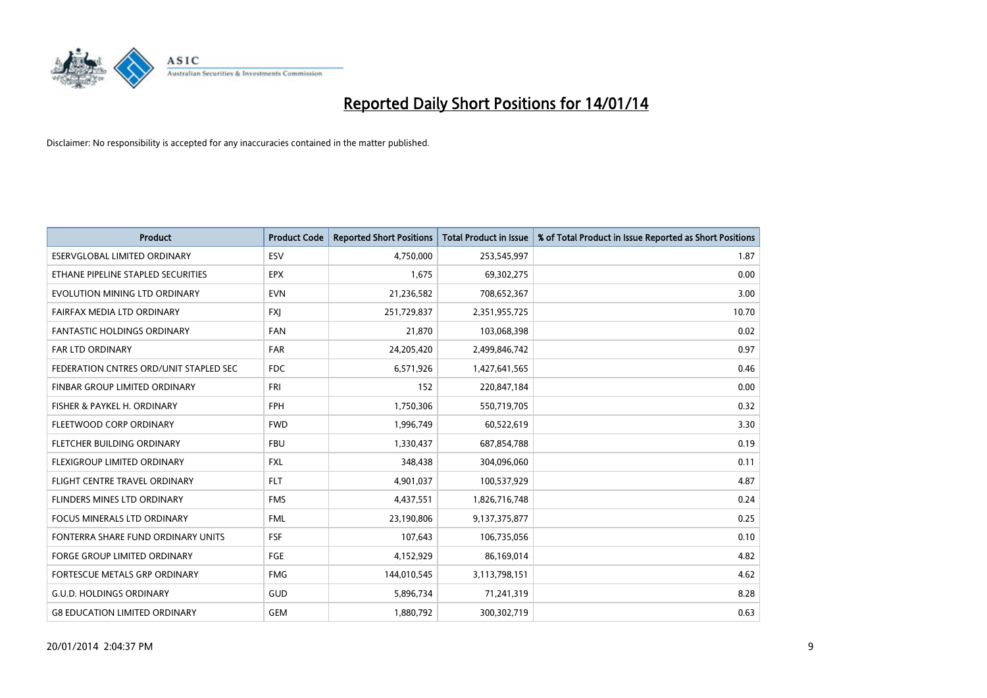

| <b>Product</b>                         | <b>Product Code</b> | <b>Reported Short Positions</b> | <b>Total Product in Issue</b> | % of Total Product in Issue Reported as Short Positions |
|----------------------------------------|---------------------|---------------------------------|-------------------------------|---------------------------------------------------------|
| <b>ESERVGLOBAL LIMITED ORDINARY</b>    | ESV                 | 4,750,000                       | 253,545,997                   | 1.87                                                    |
| ETHANE PIPELINE STAPLED SECURITIES     | <b>EPX</b>          | 1,675                           | 69,302,275                    | 0.00                                                    |
| EVOLUTION MINING LTD ORDINARY          | <b>EVN</b>          | 21,236,582                      | 708,652,367                   | 3.00                                                    |
| FAIRFAX MEDIA LTD ORDINARY             | FXJ                 | 251,729,837                     | 2,351,955,725                 | 10.70                                                   |
| <b>FANTASTIC HOLDINGS ORDINARY</b>     | <b>FAN</b>          | 21,870                          | 103,068,398                   | 0.02                                                    |
| <b>FAR LTD ORDINARY</b>                | <b>FAR</b>          | 24,205,420                      | 2,499,846,742                 | 0.97                                                    |
| FEDERATION CNTRES ORD/UNIT STAPLED SEC | <b>FDC</b>          | 6,571,926                       | 1,427,641,565                 | 0.46                                                    |
| FINBAR GROUP LIMITED ORDINARY          | <b>FRI</b>          | 152                             | 220,847,184                   | 0.00                                                    |
| FISHER & PAYKEL H. ORDINARY            | <b>FPH</b>          | 1,750,306                       | 550,719,705                   | 0.32                                                    |
| FLEETWOOD CORP ORDINARY                | <b>FWD</b>          | 1,996,749                       | 60,522,619                    | 3.30                                                    |
| FLETCHER BUILDING ORDINARY             | <b>FBU</b>          | 1,330,437                       | 687,854,788                   | 0.19                                                    |
| FLEXIGROUP LIMITED ORDINARY            | <b>FXL</b>          | 348,438                         | 304,096,060                   | 0.11                                                    |
| FLIGHT CENTRE TRAVEL ORDINARY          | <b>FLT</b>          | 4,901,037                       | 100,537,929                   | 4.87                                                    |
| FLINDERS MINES LTD ORDINARY            | <b>FMS</b>          | 4,437,551                       | 1,826,716,748                 | 0.24                                                    |
| FOCUS MINERALS LTD ORDINARY            | <b>FML</b>          | 23,190,806                      | 9,137,375,877                 | 0.25                                                    |
| FONTERRA SHARE FUND ORDINARY UNITS     | <b>FSF</b>          | 107,643                         | 106,735,056                   | 0.10                                                    |
| FORGE GROUP LIMITED ORDINARY           | FGE                 | 4,152,929                       | 86,169,014                    | 4.82                                                    |
| FORTESCUE METALS GRP ORDINARY          | <b>FMG</b>          | 144,010,545                     | 3,113,798,151                 | 4.62                                                    |
| <b>G.U.D. HOLDINGS ORDINARY</b>        | GUD                 | 5,896,734                       | 71,241,319                    | 8.28                                                    |
| <b>G8 EDUCATION LIMITED ORDINARY</b>   | <b>GEM</b>          | 1,880,792                       | 300,302,719                   | 0.63                                                    |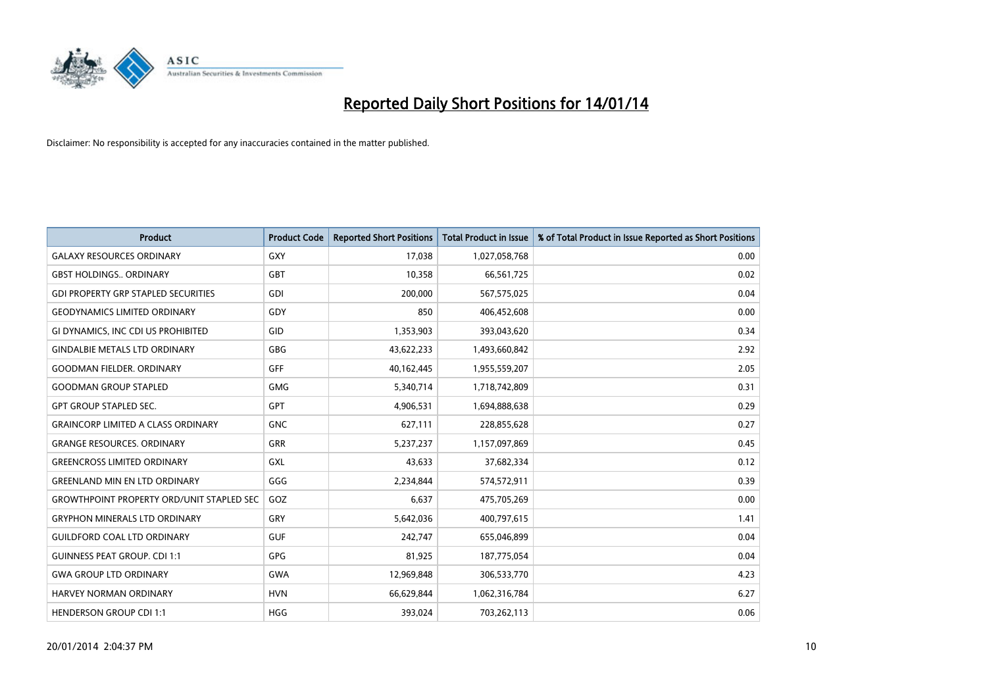

| <b>Product</b>                                   | <b>Product Code</b> | <b>Reported Short Positions</b> | <b>Total Product in Issue</b> | % of Total Product in Issue Reported as Short Positions |
|--------------------------------------------------|---------------------|---------------------------------|-------------------------------|---------------------------------------------------------|
| <b>GALAXY RESOURCES ORDINARY</b>                 | GXY                 | 17,038                          | 1,027,058,768                 | 0.00                                                    |
| <b>GBST HOLDINGS ORDINARY</b>                    | GBT                 | 10,358                          | 66,561,725                    | 0.02                                                    |
| <b>GDI PROPERTY GRP STAPLED SECURITIES</b>       | <b>GDI</b>          | 200,000                         | 567,575,025                   | 0.04                                                    |
| <b>GEODYNAMICS LIMITED ORDINARY</b>              | GDY                 | 850                             | 406,452,608                   | 0.00                                                    |
| <b>GI DYNAMICS. INC CDI US PROHIBITED</b>        | GID                 | 1,353,903                       | 393,043,620                   | 0.34                                                    |
| <b>GINDALBIE METALS LTD ORDINARY</b>             | <b>GBG</b>          | 43,622,233                      | 1,493,660,842                 | 2.92                                                    |
| <b>GOODMAN FIELDER, ORDINARY</b>                 | GFF                 | 40,162,445                      | 1,955,559,207                 | 2.05                                                    |
| <b>GOODMAN GROUP STAPLED</b>                     | <b>GMG</b>          | 5,340,714                       | 1,718,742,809                 | 0.31                                                    |
| <b>GPT GROUP STAPLED SEC.</b>                    | GPT                 | 4,906,531                       | 1,694,888,638                 | 0.29                                                    |
| <b>GRAINCORP LIMITED A CLASS ORDINARY</b>        | <b>GNC</b>          | 627,111                         | 228,855,628                   | 0.27                                                    |
| <b>GRANGE RESOURCES. ORDINARY</b>                | GRR                 | 5,237,237                       | 1,157,097,869                 | 0.45                                                    |
| <b>GREENCROSS LIMITED ORDINARY</b>               | GXL                 | 43,633                          | 37,682,334                    | 0.12                                                    |
| <b>GREENLAND MIN EN LTD ORDINARY</b>             | GGG                 | 2,234,844                       | 574,572,911                   | 0.39                                                    |
| <b>GROWTHPOINT PROPERTY ORD/UNIT STAPLED SEC</b> | GOZ                 | 6,637                           | 475,705,269                   | 0.00                                                    |
| <b>GRYPHON MINERALS LTD ORDINARY</b>             | GRY                 | 5,642,036                       | 400,797,615                   | 1.41                                                    |
| <b>GUILDFORD COAL LTD ORDINARY</b>               | <b>GUF</b>          | 242,747                         | 655,046,899                   | 0.04                                                    |
| <b>GUINNESS PEAT GROUP. CDI 1:1</b>              | <b>GPG</b>          | 81,925                          | 187,775,054                   | 0.04                                                    |
| <b>GWA GROUP LTD ORDINARY</b>                    | <b>GWA</b>          | 12,969,848                      | 306,533,770                   | 4.23                                                    |
| HARVEY NORMAN ORDINARY                           | <b>HVN</b>          | 66,629,844                      | 1,062,316,784                 | 6.27                                                    |
| <b>HENDERSON GROUP CDI 1:1</b>                   | <b>HGG</b>          | 393,024                         | 703,262,113                   | 0.06                                                    |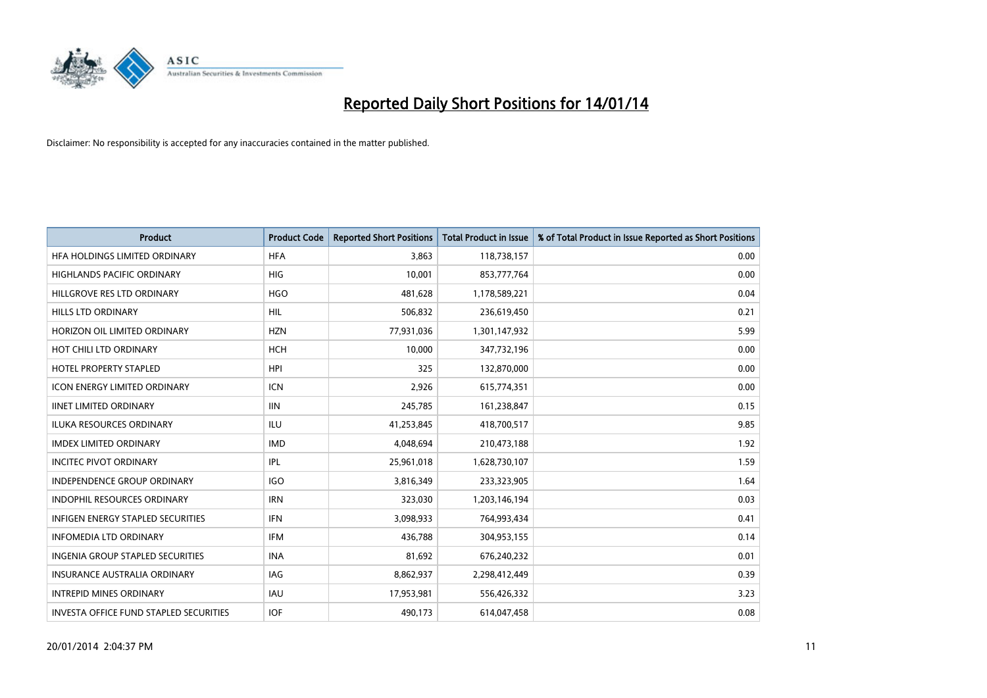

| <b>Product</b>                                | <b>Product Code</b> | <b>Reported Short Positions</b> | <b>Total Product in Issue</b> | % of Total Product in Issue Reported as Short Positions |
|-----------------------------------------------|---------------------|---------------------------------|-------------------------------|---------------------------------------------------------|
| HFA HOLDINGS LIMITED ORDINARY                 | <b>HFA</b>          | 3,863                           | 118,738,157                   | 0.00                                                    |
| HIGHLANDS PACIFIC ORDINARY                    | HIG                 | 10,001                          | 853,777,764                   | 0.00                                                    |
| HILLGROVE RES LTD ORDINARY                    | <b>HGO</b>          | 481,628                         | 1,178,589,221                 | 0.04                                                    |
| HILLS LTD ORDINARY                            | <b>HIL</b>          | 506,832                         | 236,619,450                   | 0.21                                                    |
| HORIZON OIL LIMITED ORDINARY                  | <b>HZN</b>          | 77,931,036                      | 1,301,147,932                 | 5.99                                                    |
| HOT CHILI LTD ORDINARY                        | <b>HCH</b>          | 10,000                          | 347,732,196                   | 0.00                                                    |
| <b>HOTEL PROPERTY STAPLED</b>                 | <b>HPI</b>          | 325                             | 132,870,000                   | 0.00                                                    |
| <b>ICON ENERGY LIMITED ORDINARY</b>           | <b>ICN</b>          | 2,926                           | 615,774,351                   | 0.00                                                    |
| <b>IINET LIMITED ORDINARY</b>                 | <b>IIN</b>          | 245,785                         | 161,238,847                   | 0.15                                                    |
| <b>ILUKA RESOURCES ORDINARY</b>               | ILU                 | 41,253,845                      | 418,700,517                   | 9.85                                                    |
| <b>IMDEX LIMITED ORDINARY</b>                 | <b>IMD</b>          | 4,048,694                       | 210,473,188                   | 1.92                                                    |
| <b>INCITEC PIVOT ORDINARY</b>                 | IPL                 | 25,961,018                      | 1,628,730,107                 | 1.59                                                    |
| INDEPENDENCE GROUP ORDINARY                   | <b>IGO</b>          | 3,816,349                       | 233,323,905                   | 1.64                                                    |
| <b>INDOPHIL RESOURCES ORDINARY</b>            | <b>IRN</b>          | 323,030                         | 1,203,146,194                 | 0.03                                                    |
| <b>INFIGEN ENERGY STAPLED SECURITIES</b>      | <b>IFN</b>          | 3,098,933                       | 764,993,434                   | 0.41                                                    |
| <b>INFOMEDIA LTD ORDINARY</b>                 | IFM                 | 436,788                         | 304,953,155                   | 0.14                                                    |
| <b>INGENIA GROUP STAPLED SECURITIES</b>       | <b>INA</b>          | 81,692                          | 676,240,232                   | 0.01                                                    |
| <b>INSURANCE AUSTRALIA ORDINARY</b>           | IAG                 | 8,862,937                       | 2,298,412,449                 | 0.39                                                    |
| <b>INTREPID MINES ORDINARY</b>                | <b>IAU</b>          | 17,953,981                      | 556,426,332                   | 3.23                                                    |
| <b>INVESTA OFFICE FUND STAPLED SECURITIES</b> | <b>IOF</b>          | 490.173                         | 614,047,458                   | 0.08                                                    |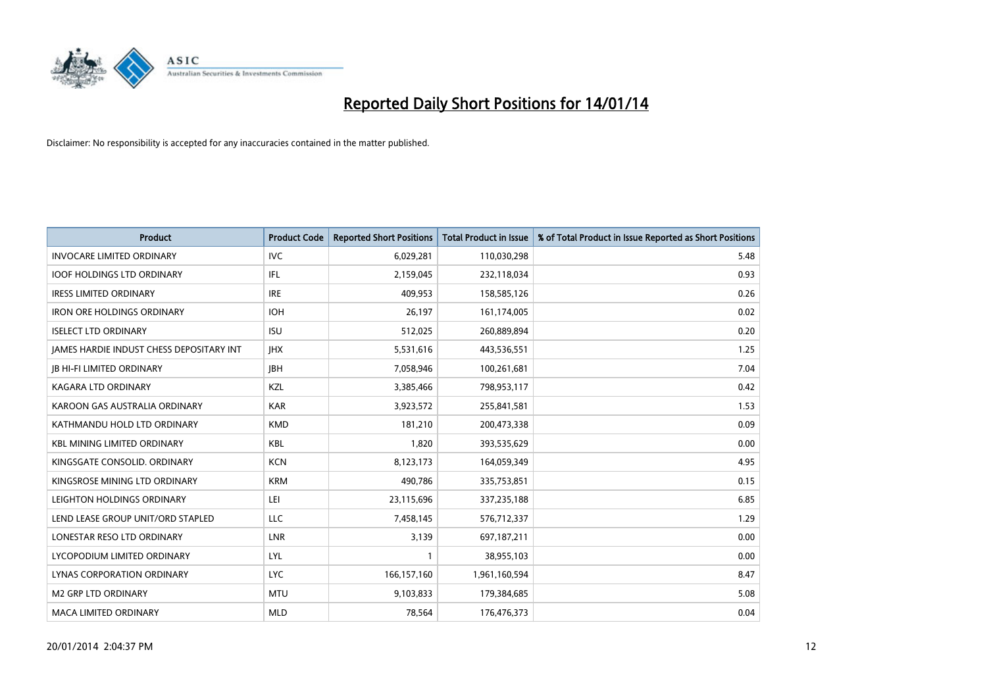

| <b>Product</b>                                  | <b>Product Code</b> | <b>Reported Short Positions</b> | <b>Total Product in Issue</b> | % of Total Product in Issue Reported as Short Positions |
|-------------------------------------------------|---------------------|---------------------------------|-------------------------------|---------------------------------------------------------|
| <b>INVOCARE LIMITED ORDINARY</b>                | <b>IVC</b>          | 6,029,281                       | 110,030,298                   | 5.48                                                    |
| <b>IOOF HOLDINGS LTD ORDINARY</b>               | IFL                 | 2,159,045                       | 232,118,034                   | 0.93                                                    |
| <b>IRESS LIMITED ORDINARY</b>                   | <b>IRE</b>          | 409,953                         | 158,585,126                   | 0.26                                                    |
| <b>IRON ORE HOLDINGS ORDINARY</b>               | <b>IOH</b>          | 26,197                          | 161,174,005                   | 0.02                                                    |
| <b>ISELECT LTD ORDINARY</b>                     | <b>ISU</b>          | 512,025                         | 260,889,894                   | 0.20                                                    |
| <b>JAMES HARDIE INDUST CHESS DEPOSITARY INT</b> | <b>IHX</b>          | 5,531,616                       | 443,536,551                   | 1.25                                                    |
| <b>JB HI-FI LIMITED ORDINARY</b>                | <b>IBH</b>          | 7,058,946                       | 100,261,681                   | 7.04                                                    |
| <b>KAGARA LTD ORDINARY</b>                      | KZL                 | 3,385,466                       | 798,953,117                   | 0.42                                                    |
| KAROON GAS AUSTRALIA ORDINARY                   | <b>KAR</b>          | 3,923,572                       | 255,841,581                   | 1.53                                                    |
| KATHMANDU HOLD LTD ORDINARY                     | <b>KMD</b>          | 181,210                         | 200,473,338                   | 0.09                                                    |
| <b>KBL MINING LIMITED ORDINARY</b>              | <b>KBL</b>          | 1,820                           | 393,535,629                   | 0.00                                                    |
| KINGSGATE CONSOLID, ORDINARY                    | <b>KCN</b>          | 8,123,173                       | 164,059,349                   | 4.95                                                    |
| KINGSROSE MINING LTD ORDINARY                   | <b>KRM</b>          | 490,786                         | 335,753,851                   | 0.15                                                    |
| LEIGHTON HOLDINGS ORDINARY                      | LEI                 | 23,115,696                      | 337,235,188                   | 6.85                                                    |
| LEND LEASE GROUP UNIT/ORD STAPLED               | <b>LLC</b>          | 7,458,145                       | 576,712,337                   | 1.29                                                    |
| LONESTAR RESO LTD ORDINARY                      | LNR                 | 3,139                           | 697,187,211                   | 0.00                                                    |
| LYCOPODIUM LIMITED ORDINARY                     | <b>LYL</b>          | $\mathbf{1}$                    | 38,955,103                    | 0.00                                                    |
| LYNAS CORPORATION ORDINARY                      | <b>LYC</b>          | 166,157,160                     | 1,961,160,594                 | 8.47                                                    |
| <b>M2 GRP LTD ORDINARY</b>                      | <b>MTU</b>          | 9,103,833                       | 179,384,685                   | 5.08                                                    |
| <b>MACA LIMITED ORDINARY</b>                    | <b>MLD</b>          | 78,564                          | 176,476,373                   | 0.04                                                    |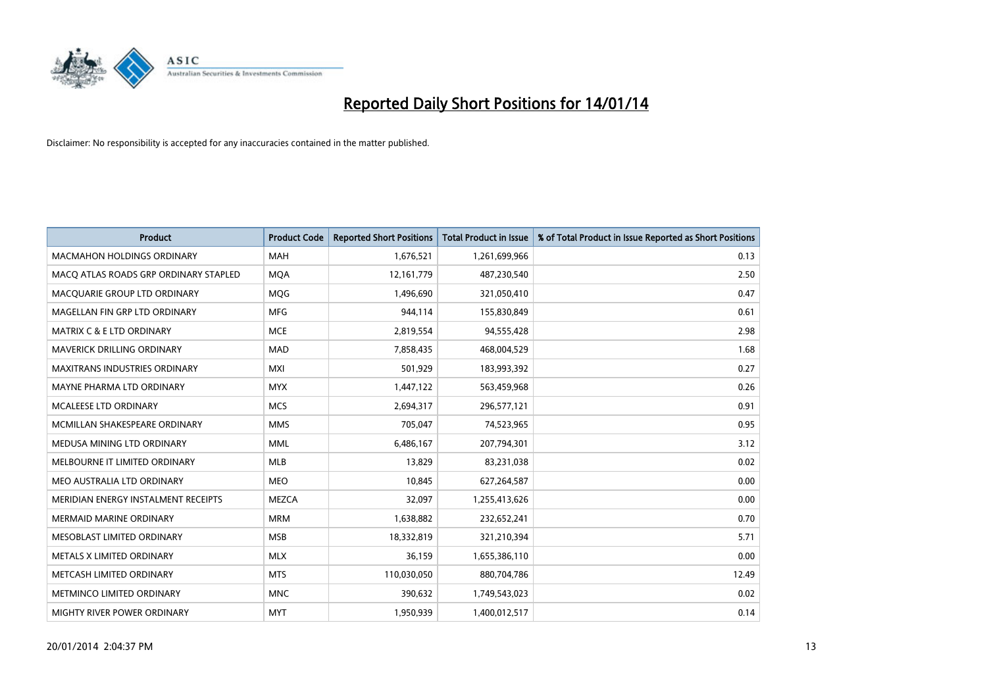

| <b>Product</b>                        | <b>Product Code</b> | <b>Reported Short Positions</b> | Total Product in Issue | % of Total Product in Issue Reported as Short Positions |
|---------------------------------------|---------------------|---------------------------------|------------------------|---------------------------------------------------------|
| <b>MACMAHON HOLDINGS ORDINARY</b>     | <b>MAH</b>          | 1,676,521                       | 1,261,699,966          | 0.13                                                    |
| MACO ATLAS ROADS GRP ORDINARY STAPLED | <b>MOA</b>          | 12,161,779                      | 487,230,540            | 2.50                                                    |
| MACQUARIE GROUP LTD ORDINARY          | MQG                 | 1,496,690                       | 321,050,410            | 0.47                                                    |
| MAGELLAN FIN GRP LTD ORDINARY         | <b>MFG</b>          | 944,114                         | 155,830,849            | 0.61                                                    |
| <b>MATRIX C &amp; E LTD ORDINARY</b>  | <b>MCE</b>          | 2,819,554                       | 94,555,428             | 2.98                                                    |
| MAVERICK DRILLING ORDINARY            | <b>MAD</b>          | 7,858,435                       | 468,004,529            | 1.68                                                    |
| <b>MAXITRANS INDUSTRIES ORDINARY</b>  | <b>MXI</b>          | 501,929                         | 183,993,392            | 0.27                                                    |
| MAYNE PHARMA LTD ORDINARY             | <b>MYX</b>          | 1,447,122                       | 563,459,968            | 0.26                                                    |
| <b>MCALEESE LTD ORDINARY</b>          | <b>MCS</b>          | 2,694,317                       | 296,577,121            | 0.91                                                    |
| MCMILLAN SHAKESPEARE ORDINARY         | <b>MMS</b>          | 705,047                         | 74,523,965             | 0.95                                                    |
| MEDUSA MINING LTD ORDINARY            | <b>MML</b>          | 6,486,167                       | 207,794,301            | 3.12                                                    |
| MELBOURNE IT LIMITED ORDINARY         | <b>MLB</b>          | 13,829                          | 83,231,038             | 0.02                                                    |
| MEO AUSTRALIA LTD ORDINARY            | <b>MEO</b>          | 10,845                          | 627,264,587            | 0.00                                                    |
| MERIDIAN ENERGY INSTALMENT RECEIPTS   | <b>MEZCA</b>        | 32.097                          | 1,255,413,626          | 0.00                                                    |
| <b>MERMAID MARINE ORDINARY</b>        | <b>MRM</b>          | 1,638,882                       | 232,652,241            | 0.70                                                    |
| MESOBLAST LIMITED ORDINARY            | <b>MSB</b>          | 18,332,819                      | 321,210,394            | 5.71                                                    |
| METALS X LIMITED ORDINARY             | <b>MLX</b>          | 36,159                          | 1,655,386,110          | 0.00                                                    |
| METCASH LIMITED ORDINARY              | <b>MTS</b>          | 110,030,050                     | 880,704,786            | 12.49                                                   |
| METMINCO LIMITED ORDINARY             | <b>MNC</b>          | 390,632                         | 1,749,543,023          | 0.02                                                    |
| MIGHTY RIVER POWER ORDINARY           | <b>MYT</b>          | 1,950,939                       | 1,400,012,517          | 0.14                                                    |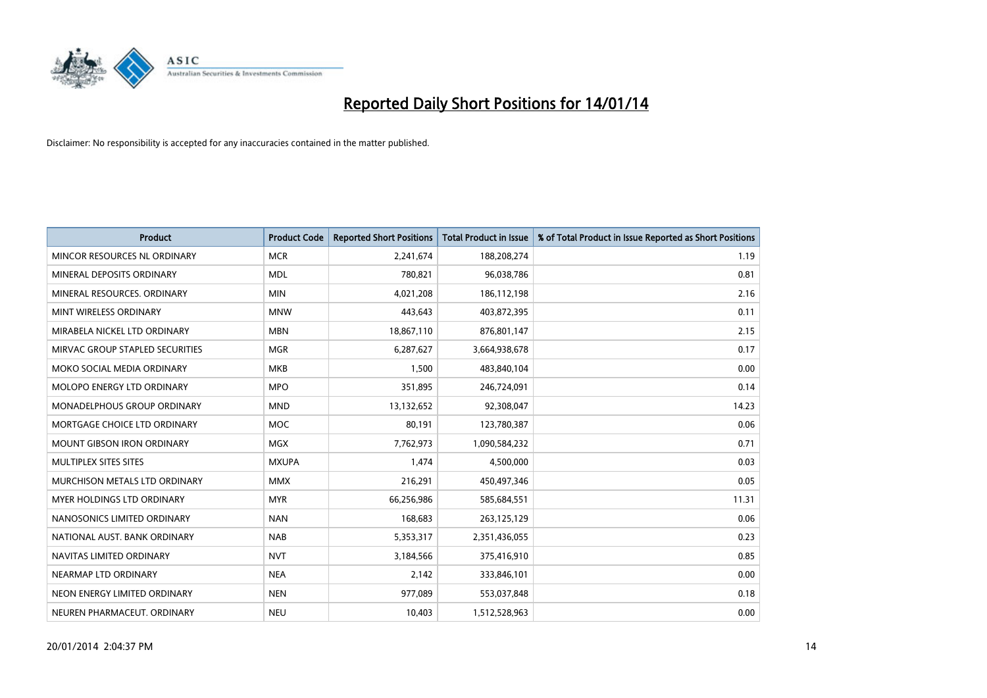

| <b>Product</b>                    | <b>Product Code</b> | <b>Reported Short Positions</b> | <b>Total Product in Issue</b> | % of Total Product in Issue Reported as Short Positions |
|-----------------------------------|---------------------|---------------------------------|-------------------------------|---------------------------------------------------------|
| MINCOR RESOURCES NL ORDINARY      | <b>MCR</b>          | 2,241,674                       | 188,208,274                   | 1.19                                                    |
| MINERAL DEPOSITS ORDINARY         | <b>MDL</b>          | 780,821                         | 96,038,786                    | 0.81                                                    |
| MINERAL RESOURCES, ORDINARY       | <b>MIN</b>          | 4,021,208                       | 186,112,198                   | 2.16                                                    |
| MINT WIRELESS ORDINARY            | <b>MNW</b>          | 443,643                         | 403,872,395                   | 0.11                                                    |
| MIRABELA NICKEL LTD ORDINARY      | <b>MBN</b>          | 18,867,110                      | 876,801,147                   | 2.15                                                    |
| MIRVAC GROUP STAPLED SECURITIES   | <b>MGR</b>          | 6,287,627                       | 3,664,938,678                 | 0.17                                                    |
| MOKO SOCIAL MEDIA ORDINARY        | <b>MKB</b>          | 1,500                           | 483,840,104                   | 0.00                                                    |
| MOLOPO ENERGY LTD ORDINARY        | <b>MPO</b>          | 351,895                         | 246,724,091                   | 0.14                                                    |
| MONADELPHOUS GROUP ORDINARY       | <b>MND</b>          | 13,132,652                      | 92,308,047                    | 14.23                                                   |
| MORTGAGE CHOICE LTD ORDINARY      | <b>MOC</b>          | 80,191                          | 123,780,387                   | 0.06                                                    |
| <b>MOUNT GIBSON IRON ORDINARY</b> | <b>MGX</b>          | 7,762,973                       | 1,090,584,232                 | 0.71                                                    |
| MULTIPLEX SITES SITES             | <b>MXUPA</b>        | 1,474                           | 4,500,000                     | 0.03                                                    |
| MURCHISON METALS LTD ORDINARY     | <b>MMX</b>          | 216,291                         | 450,497,346                   | 0.05                                                    |
| MYER HOLDINGS LTD ORDINARY        | <b>MYR</b>          | 66,256,986                      | 585,684,551                   | 11.31                                                   |
| NANOSONICS LIMITED ORDINARY       | <b>NAN</b>          | 168,683                         | 263,125,129                   | 0.06                                                    |
| NATIONAL AUST, BANK ORDINARY      | <b>NAB</b>          | 5,353,317                       | 2,351,436,055                 | 0.23                                                    |
| NAVITAS LIMITED ORDINARY          | <b>NVT</b>          | 3,184,566                       | 375,416,910                   | 0.85                                                    |
| NEARMAP LTD ORDINARY              | <b>NEA</b>          | 2,142                           | 333,846,101                   | 0.00                                                    |
| NEON ENERGY LIMITED ORDINARY      | <b>NEN</b>          | 977,089                         | 553,037,848                   | 0.18                                                    |
| NEUREN PHARMACEUT. ORDINARY       | <b>NEU</b>          | 10,403                          | 1,512,528,963                 | 0.00                                                    |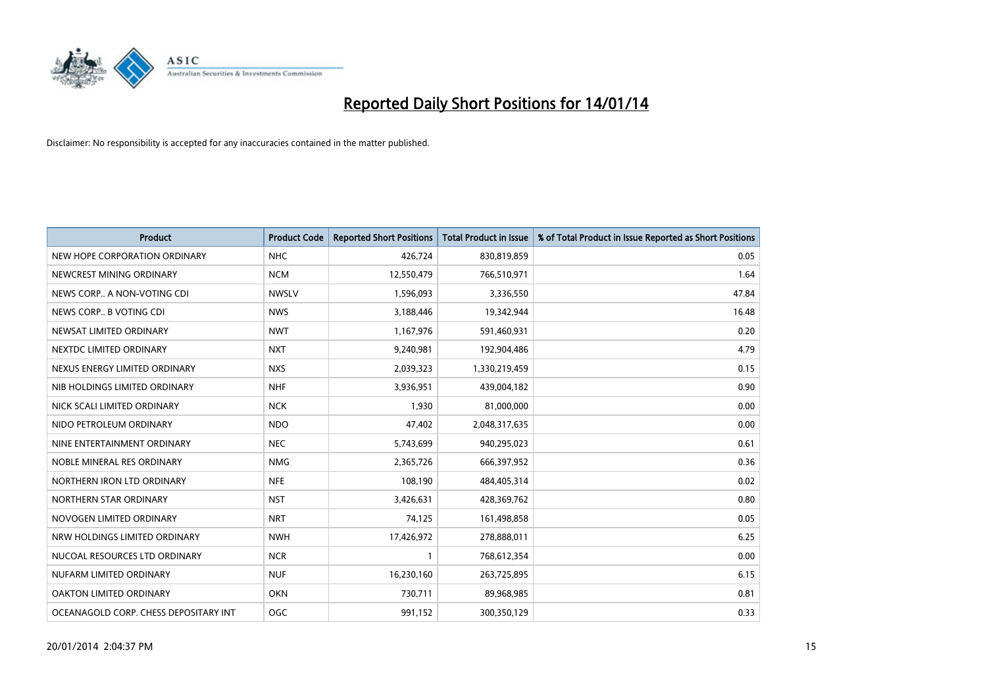

| <b>Product</b>                        | <b>Product Code</b> | <b>Reported Short Positions</b> | <b>Total Product in Issue</b> | % of Total Product in Issue Reported as Short Positions |
|---------------------------------------|---------------------|---------------------------------|-------------------------------|---------------------------------------------------------|
| NEW HOPE CORPORATION ORDINARY         | <b>NHC</b>          | 426,724                         | 830,819,859                   | 0.05                                                    |
| NEWCREST MINING ORDINARY              | <b>NCM</b>          | 12,550,479                      | 766,510,971                   | 1.64                                                    |
| NEWS CORP A NON-VOTING CDI            | <b>NWSLV</b>        | 1,596,093                       | 3,336,550                     | 47.84                                                   |
| NEWS CORP B VOTING CDI                | <b>NWS</b>          | 3,188,446                       | 19,342,944                    | 16.48                                                   |
| NEWSAT LIMITED ORDINARY               | <b>NWT</b>          | 1,167,976                       | 591,460,931                   | 0.20                                                    |
| NEXTDC LIMITED ORDINARY               | <b>NXT</b>          | 9,240,981                       | 192,904,486                   | 4.79                                                    |
| NEXUS ENERGY LIMITED ORDINARY         | <b>NXS</b>          | 2,039,323                       | 1,330,219,459                 | 0.15                                                    |
| NIB HOLDINGS LIMITED ORDINARY         | <b>NHF</b>          | 3,936,951                       | 439,004,182                   | 0.90                                                    |
| NICK SCALI LIMITED ORDINARY           | <b>NCK</b>          | 1,930                           | 81,000,000                    | 0.00                                                    |
| NIDO PETROLEUM ORDINARY               | <b>NDO</b>          | 47,402                          | 2,048,317,635                 | 0.00                                                    |
| NINE ENTERTAINMENT ORDINARY           | <b>NEC</b>          | 5,743,699                       | 940,295,023                   | 0.61                                                    |
| NOBLE MINERAL RES ORDINARY            | <b>NMG</b>          | 2,365,726                       | 666,397,952                   | 0.36                                                    |
| NORTHERN IRON LTD ORDINARY            | <b>NFE</b>          | 108,190                         | 484,405,314                   | 0.02                                                    |
| NORTHERN STAR ORDINARY                | <b>NST</b>          | 3,426,631                       | 428,369,762                   | 0.80                                                    |
| NOVOGEN LIMITED ORDINARY              | <b>NRT</b>          | 74,125                          | 161,498,858                   | 0.05                                                    |
| NRW HOLDINGS LIMITED ORDINARY         | <b>NWH</b>          | 17,426,972                      | 278,888,011                   | 6.25                                                    |
| NUCOAL RESOURCES LTD ORDINARY         | <b>NCR</b>          | $\mathbf{1}$                    | 768,612,354                   | 0.00                                                    |
| NUFARM LIMITED ORDINARY               | <b>NUF</b>          | 16,230,160                      | 263,725,895                   | 6.15                                                    |
| OAKTON LIMITED ORDINARY               | <b>OKN</b>          | 730,711                         | 89,968,985                    | 0.81                                                    |
| OCEANAGOLD CORP. CHESS DEPOSITARY INT | <b>OGC</b>          | 991,152                         | 300,350,129                   | 0.33                                                    |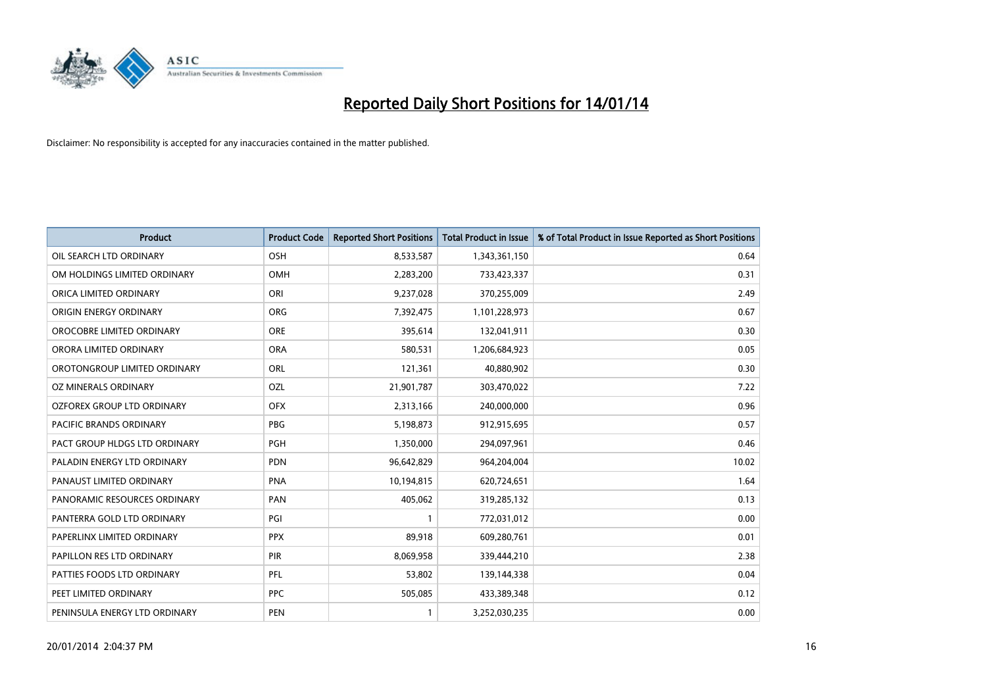

| <b>Product</b>                 | <b>Product Code</b> | <b>Reported Short Positions</b> | Total Product in Issue | % of Total Product in Issue Reported as Short Positions |
|--------------------------------|---------------------|---------------------------------|------------------------|---------------------------------------------------------|
| OIL SEARCH LTD ORDINARY        | OSH                 | 8,533,587                       | 1,343,361,150          | 0.64                                                    |
| OM HOLDINGS LIMITED ORDINARY   | <b>OMH</b>          | 2,283,200                       | 733,423,337            | 0.31                                                    |
| ORICA LIMITED ORDINARY         | ORI                 | 9,237,028                       | 370,255,009            | 2.49                                                    |
| ORIGIN ENERGY ORDINARY         | <b>ORG</b>          | 7,392,475                       | 1,101,228,973          | 0.67                                                    |
| OROCOBRE LIMITED ORDINARY      | <b>ORE</b>          | 395,614                         | 132,041,911            | 0.30                                                    |
| ORORA LIMITED ORDINARY         | <b>ORA</b>          | 580,531                         | 1,206,684,923          | 0.05                                                    |
| OROTONGROUP LIMITED ORDINARY   | <b>ORL</b>          | 121,361                         | 40,880,902             | 0.30                                                    |
| OZ MINERALS ORDINARY           | OZL                 | 21,901,787                      | 303,470,022            | 7.22                                                    |
| OZFOREX GROUP LTD ORDINARY     | <b>OFX</b>          | 2,313,166                       | 240,000,000            | 0.96                                                    |
| <b>PACIFIC BRANDS ORDINARY</b> | <b>PBG</b>          | 5,198,873                       | 912,915,695            | 0.57                                                    |
| PACT GROUP HLDGS LTD ORDINARY  | PGH                 | 1,350,000                       | 294,097,961            | 0.46                                                    |
| PALADIN ENERGY LTD ORDINARY    | <b>PDN</b>          | 96,642,829                      | 964,204,004            | 10.02                                                   |
| PANAUST LIMITED ORDINARY       | <b>PNA</b>          | 10,194,815                      | 620,724,651            | 1.64                                                    |
| PANORAMIC RESOURCES ORDINARY   | PAN                 | 405,062                         | 319,285,132            | 0.13                                                    |
| PANTERRA GOLD LTD ORDINARY     | PGI                 | $\mathbf{1}$                    | 772,031,012            | 0.00                                                    |
| PAPERLINX LIMITED ORDINARY     | <b>PPX</b>          | 89,918                          | 609,280,761            | 0.01                                                    |
| PAPILLON RES LTD ORDINARY      | PIR                 | 8,069,958                       | 339,444,210            | 2.38                                                    |
| PATTIES FOODS LTD ORDINARY     | PFL                 | 53,802                          | 139,144,338            | 0.04                                                    |
| PEET LIMITED ORDINARY          | <b>PPC</b>          | 505,085                         | 433,389,348            | 0.12                                                    |
| PENINSULA ENERGY LTD ORDINARY  | <b>PEN</b>          | $\mathbf{1}$                    | 3,252,030,235          | 0.00                                                    |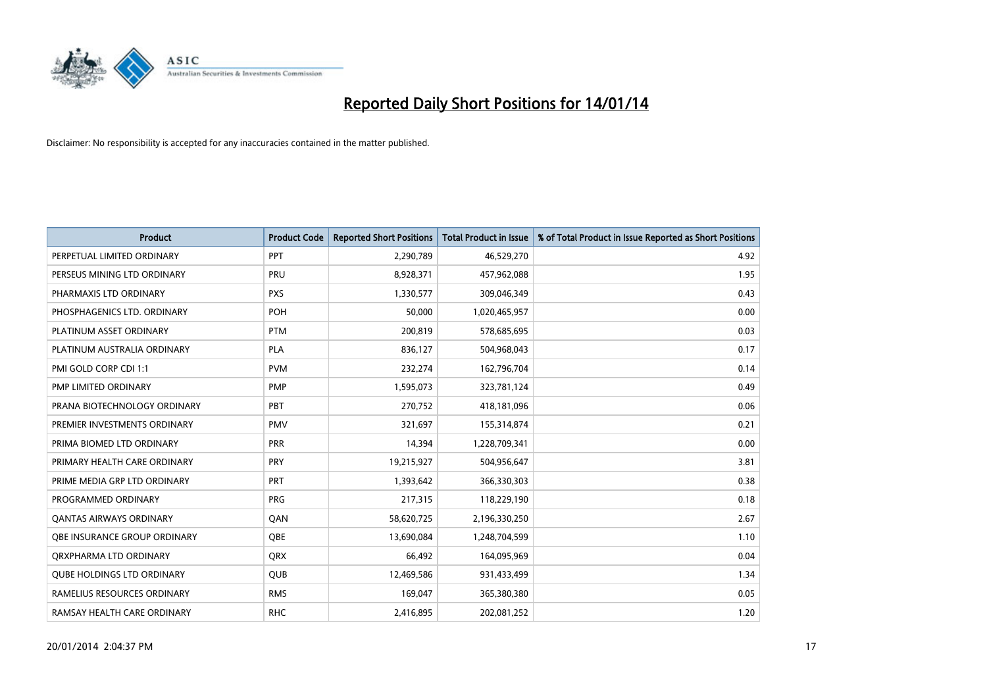

| <b>Product</b>                    | <b>Product Code</b> | <b>Reported Short Positions</b> | <b>Total Product in Issue</b> | % of Total Product in Issue Reported as Short Positions |
|-----------------------------------|---------------------|---------------------------------|-------------------------------|---------------------------------------------------------|
| PERPETUAL LIMITED ORDINARY        | PPT                 | 2,290,789                       | 46,529,270                    | 4.92                                                    |
| PERSEUS MINING LTD ORDINARY       | PRU                 | 8,928,371                       | 457,962,088                   | 1.95                                                    |
| PHARMAXIS LTD ORDINARY            | <b>PXS</b>          | 1,330,577                       | 309,046,349                   | 0.43                                                    |
| PHOSPHAGENICS LTD. ORDINARY       | POH                 | 50,000                          | 1,020,465,957                 | 0.00                                                    |
| PLATINUM ASSET ORDINARY           | <b>PTM</b>          | 200,819                         | 578,685,695                   | 0.03                                                    |
| PLATINUM AUSTRALIA ORDINARY       | <b>PLA</b>          | 836,127                         | 504,968,043                   | 0.17                                                    |
| PMI GOLD CORP CDI 1:1             | <b>PVM</b>          | 232,274                         | 162,796,704                   | 0.14                                                    |
| PMP LIMITED ORDINARY              | <b>PMP</b>          | 1,595,073                       | 323,781,124                   | 0.49                                                    |
| PRANA BIOTECHNOLOGY ORDINARY      | PBT                 | 270,752                         | 418,181,096                   | 0.06                                                    |
| PREMIER INVESTMENTS ORDINARY      | <b>PMV</b>          | 321,697                         | 155,314,874                   | 0.21                                                    |
| PRIMA BIOMED LTD ORDINARY         | <b>PRR</b>          | 14,394                          | 1,228,709,341                 | 0.00                                                    |
| PRIMARY HEALTH CARE ORDINARY      | <b>PRY</b>          | 19,215,927                      | 504,956,647                   | 3.81                                                    |
| PRIME MEDIA GRP LTD ORDINARY      | PRT                 | 1,393,642                       | 366,330,303                   | 0.38                                                    |
| PROGRAMMED ORDINARY               | <b>PRG</b>          | 217,315                         | 118,229,190                   | 0.18                                                    |
| <b>QANTAS AIRWAYS ORDINARY</b>    | QAN                 | 58,620,725                      | 2,196,330,250                 | 2.67                                                    |
| OBE INSURANCE GROUP ORDINARY      | OBE                 | 13,690,084                      | 1,248,704,599                 | 1.10                                                    |
| ORXPHARMA LTD ORDINARY            | <b>ORX</b>          | 66,492                          | 164,095,969                   | 0.04                                                    |
| <b>QUBE HOLDINGS LTD ORDINARY</b> | QUB                 | 12,469,586                      | 931,433,499                   | 1.34                                                    |
| RAMELIUS RESOURCES ORDINARY       | <b>RMS</b>          | 169,047                         | 365,380,380                   | 0.05                                                    |
| RAMSAY HEALTH CARE ORDINARY       | <b>RHC</b>          | 2,416,895                       | 202,081,252                   | 1.20                                                    |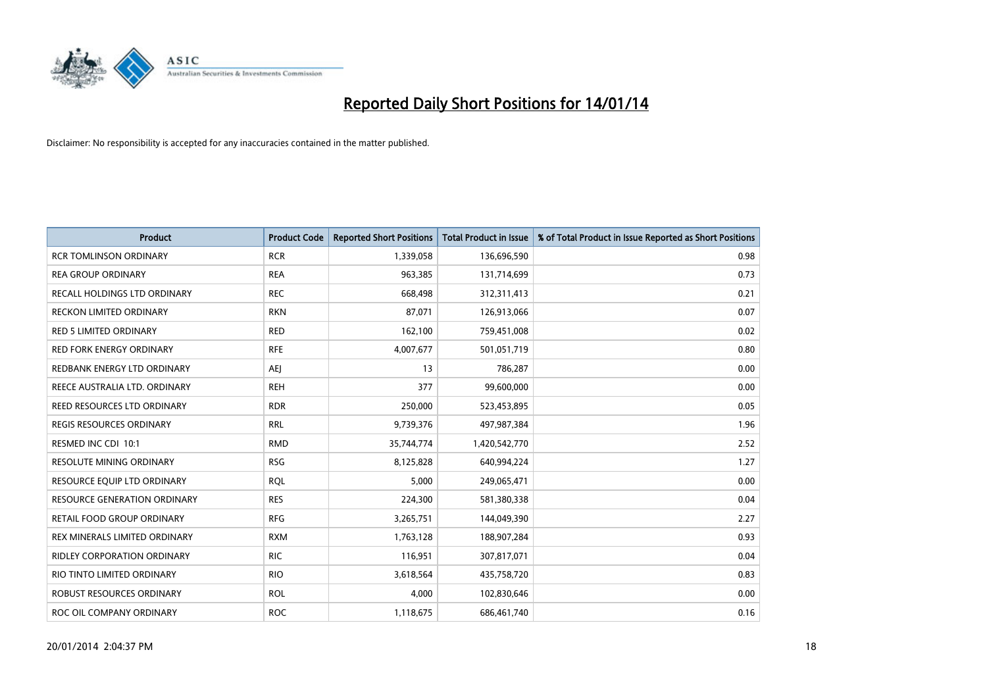

| <b>Product</b>                      | <b>Product Code</b> | <b>Reported Short Positions</b> | <b>Total Product in Issue</b> | % of Total Product in Issue Reported as Short Positions |
|-------------------------------------|---------------------|---------------------------------|-------------------------------|---------------------------------------------------------|
| <b>RCR TOMLINSON ORDINARY</b>       | <b>RCR</b>          | 1,339,058                       | 136,696,590                   | 0.98                                                    |
| <b>REA GROUP ORDINARY</b>           | <b>REA</b>          | 963,385                         | 131,714,699                   | 0.73                                                    |
| RECALL HOLDINGS LTD ORDINARY        | <b>REC</b>          | 668,498                         | 312,311,413                   | 0.21                                                    |
| RECKON LIMITED ORDINARY             | <b>RKN</b>          | 87,071                          | 126,913,066                   | 0.07                                                    |
| <b>RED 5 LIMITED ORDINARY</b>       | <b>RED</b>          | 162,100                         | 759,451,008                   | 0.02                                                    |
| RED FORK ENERGY ORDINARY            | <b>RFE</b>          | 4,007,677                       | 501,051,719                   | 0.80                                                    |
| REDBANK ENERGY LTD ORDINARY         | AEJ                 | 13                              | 786,287                       | 0.00                                                    |
| REECE AUSTRALIA LTD. ORDINARY       | <b>REH</b>          | 377                             | 99,600,000                    | 0.00                                                    |
| REED RESOURCES LTD ORDINARY         | <b>RDR</b>          | 250,000                         | 523,453,895                   | 0.05                                                    |
| <b>REGIS RESOURCES ORDINARY</b>     | <b>RRL</b>          | 9,739,376                       | 497,987,384                   | 1.96                                                    |
| RESMED INC CDI 10:1                 | <b>RMD</b>          | 35,744,774                      | 1,420,542,770                 | 2.52                                                    |
| RESOLUTE MINING ORDINARY            | <b>RSG</b>          | 8,125,828                       | 640,994,224                   | 1.27                                                    |
| RESOURCE EQUIP LTD ORDINARY         | <b>RQL</b>          | 5,000                           | 249,065,471                   | 0.00                                                    |
| <b>RESOURCE GENERATION ORDINARY</b> | <b>RES</b>          | 224,300                         | 581,380,338                   | 0.04                                                    |
| <b>RETAIL FOOD GROUP ORDINARY</b>   | <b>RFG</b>          | 3,265,751                       | 144,049,390                   | 2.27                                                    |
| REX MINERALS LIMITED ORDINARY       | <b>RXM</b>          | 1,763,128                       | 188,907,284                   | 0.93                                                    |
| RIDLEY CORPORATION ORDINARY         | <b>RIC</b>          | 116,951                         | 307,817,071                   | 0.04                                                    |
| RIO TINTO LIMITED ORDINARY          | <b>RIO</b>          | 3,618,564                       | 435,758,720                   | 0.83                                                    |
| ROBUST RESOURCES ORDINARY           | <b>ROL</b>          | 4,000                           | 102,830,646                   | 0.00                                                    |
| ROC OIL COMPANY ORDINARY            | <b>ROC</b>          | 1,118,675                       | 686,461,740                   | 0.16                                                    |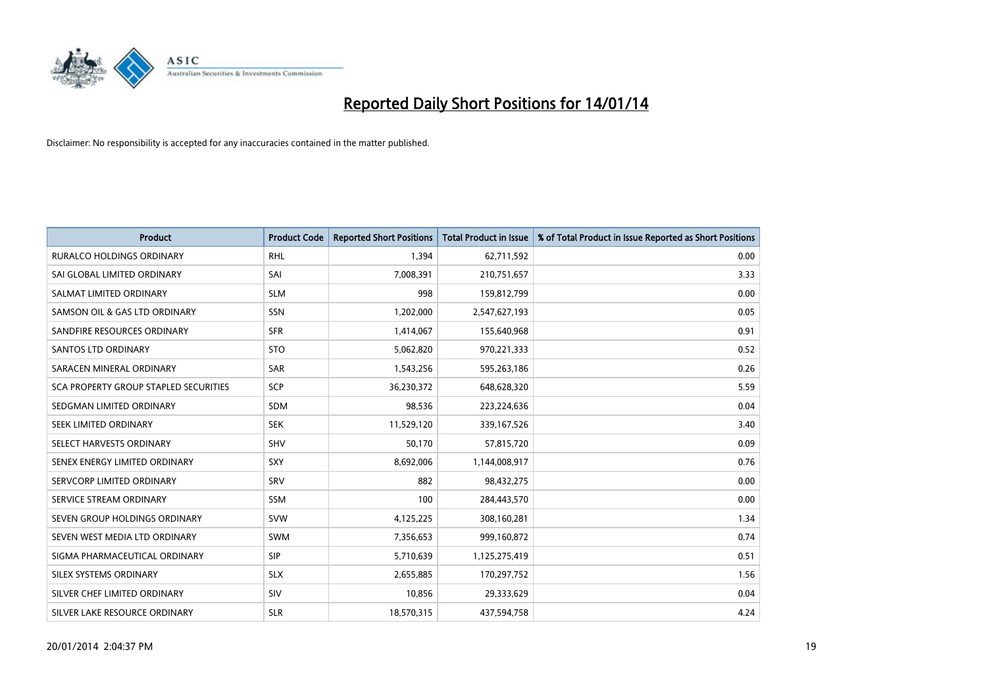

| <b>Product</b>                        | <b>Product Code</b> | <b>Reported Short Positions</b> | <b>Total Product in Issue</b> | % of Total Product in Issue Reported as Short Positions |
|---------------------------------------|---------------------|---------------------------------|-------------------------------|---------------------------------------------------------|
| RURALCO HOLDINGS ORDINARY             | <b>RHL</b>          | 1,394                           | 62,711,592                    | 0.00                                                    |
| SAI GLOBAL LIMITED ORDINARY           | SAI                 | 7,008,391                       | 210,751,657                   | 3.33                                                    |
| SALMAT LIMITED ORDINARY               | <b>SLM</b>          | 998                             | 159,812,799                   | 0.00                                                    |
| SAMSON OIL & GAS LTD ORDINARY         | SSN                 | 1,202,000                       | 2,547,627,193                 | 0.05                                                    |
| SANDFIRE RESOURCES ORDINARY           | <b>SFR</b>          | 1,414,067                       | 155,640,968                   | 0.91                                                    |
| SANTOS LTD ORDINARY                   | <b>STO</b>          | 5,062,820                       | 970,221,333                   | 0.52                                                    |
| SARACEN MINERAL ORDINARY              | <b>SAR</b>          | 1,543,256                       | 595,263,186                   | 0.26                                                    |
| SCA PROPERTY GROUP STAPLED SECURITIES | <b>SCP</b>          | 36,230,372                      | 648,628,320                   | 5.59                                                    |
| SEDGMAN LIMITED ORDINARY              | <b>SDM</b>          | 98,536                          | 223,224,636                   | 0.04                                                    |
| SEEK LIMITED ORDINARY                 | <b>SEK</b>          | 11,529,120                      | 339,167,526                   | 3.40                                                    |
| SELECT HARVESTS ORDINARY              | SHV                 | 50,170                          | 57,815,720                    | 0.09                                                    |
| SENEX ENERGY LIMITED ORDINARY         | <b>SXY</b>          | 8,692,006                       | 1,144,008,917                 | 0.76                                                    |
| SERVCORP LIMITED ORDINARY             | SRV                 | 882                             | 98,432,275                    | 0.00                                                    |
| SERVICE STREAM ORDINARY               | <b>SSM</b>          | 100                             | 284,443,570                   | 0.00                                                    |
| SEVEN GROUP HOLDINGS ORDINARY         | <b>SVW</b>          | 4,125,225                       | 308,160,281                   | 1.34                                                    |
| SEVEN WEST MEDIA LTD ORDINARY         | <b>SWM</b>          | 7,356,653                       | 999,160,872                   | 0.74                                                    |
| SIGMA PHARMACEUTICAL ORDINARY         | <b>SIP</b>          | 5,710,639                       | 1,125,275,419                 | 0.51                                                    |
| SILEX SYSTEMS ORDINARY                | <b>SLX</b>          | 2,655,885                       | 170,297,752                   | 1.56                                                    |
| SILVER CHEF LIMITED ORDINARY          | SIV                 | 10,856                          | 29,333,629                    | 0.04                                                    |
| SILVER LAKE RESOURCE ORDINARY         | <b>SLR</b>          | 18,570,315                      | 437,594,758                   | 4.24                                                    |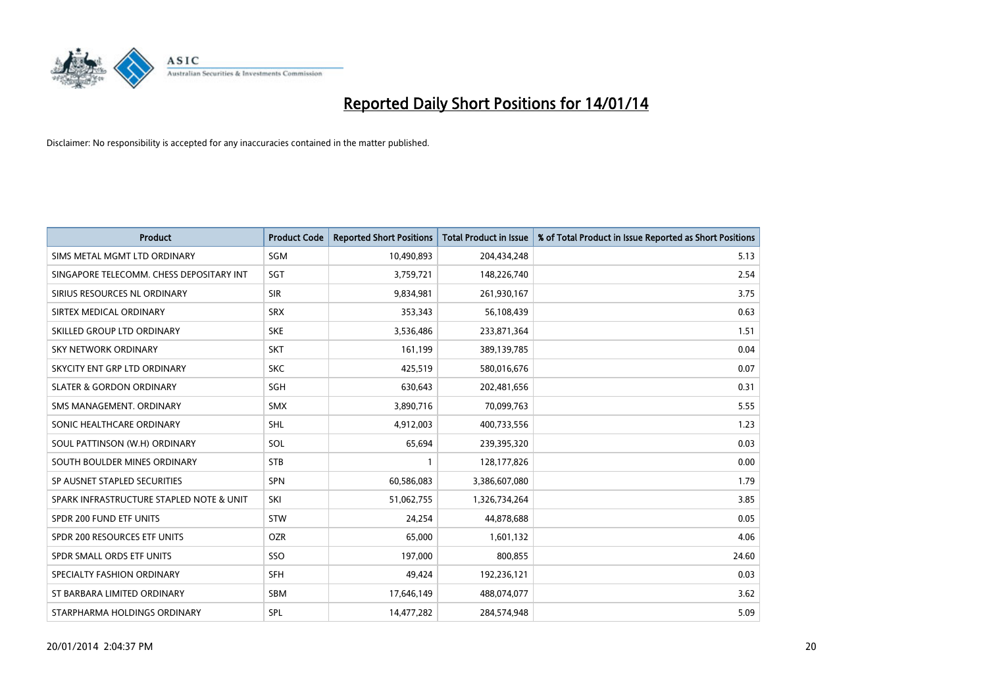

| <b>Product</b>                           | <b>Product Code</b> | <b>Reported Short Positions</b> | <b>Total Product in Issue</b> | % of Total Product in Issue Reported as Short Positions |
|------------------------------------------|---------------------|---------------------------------|-------------------------------|---------------------------------------------------------|
| SIMS METAL MGMT LTD ORDINARY             | SGM                 | 10,490,893                      | 204,434,248                   | 5.13                                                    |
| SINGAPORE TELECOMM. CHESS DEPOSITARY INT | SGT                 | 3,759,721                       | 148,226,740                   | 2.54                                                    |
| SIRIUS RESOURCES NL ORDINARY             | <b>SIR</b>          | 9,834,981                       | 261,930,167                   | 3.75                                                    |
| SIRTEX MEDICAL ORDINARY                  | <b>SRX</b>          | 353,343                         | 56,108,439                    | 0.63                                                    |
| SKILLED GROUP LTD ORDINARY               | <b>SKE</b>          | 3,536,486                       | 233,871,364                   | 1.51                                                    |
| SKY NETWORK ORDINARY                     | <b>SKT</b>          | 161,199                         | 389,139,785                   | 0.04                                                    |
| SKYCITY ENT GRP LTD ORDINARY             | <b>SKC</b>          | 425,519                         | 580,016,676                   | 0.07                                                    |
| <b>SLATER &amp; GORDON ORDINARY</b>      | SGH                 | 630,643                         | 202,481,656                   | 0.31                                                    |
| SMS MANAGEMENT. ORDINARY                 | <b>SMX</b>          | 3,890,716                       | 70,099,763                    | 5.55                                                    |
| SONIC HEALTHCARE ORDINARY                | <b>SHL</b>          | 4,912,003                       | 400,733,556                   | 1.23                                                    |
| SOUL PATTINSON (W.H) ORDINARY            | SOL                 | 65,694                          | 239,395,320                   | 0.03                                                    |
| SOUTH BOULDER MINES ORDINARY             | <b>STB</b>          | $\mathbf{1}$                    | 128,177,826                   | 0.00                                                    |
| SP AUSNET STAPLED SECURITIES             | SPN                 | 60,586,083                      | 3,386,607,080                 | 1.79                                                    |
| SPARK INFRASTRUCTURE STAPLED NOTE & UNIT | SKI                 | 51,062,755                      | 1,326,734,264                 | 3.85                                                    |
| SPDR 200 FUND ETF UNITS                  | <b>STW</b>          | 24,254                          | 44,878,688                    | 0.05                                                    |
| SPDR 200 RESOURCES ETF UNITS             | <b>OZR</b>          | 65,000                          | 1,601,132                     | 4.06                                                    |
| SPDR SMALL ORDS ETF UNITS                | SSO                 | 197,000                         | 800,855                       | 24.60                                                   |
| SPECIALTY FASHION ORDINARY               | <b>SFH</b>          | 49,424                          | 192,236,121                   | 0.03                                                    |
| ST BARBARA LIMITED ORDINARY              | <b>SBM</b>          | 17,646,149                      | 488,074,077                   | 3.62                                                    |
| STARPHARMA HOLDINGS ORDINARY             | SPL                 | 14,477,282                      | 284,574,948                   | 5.09                                                    |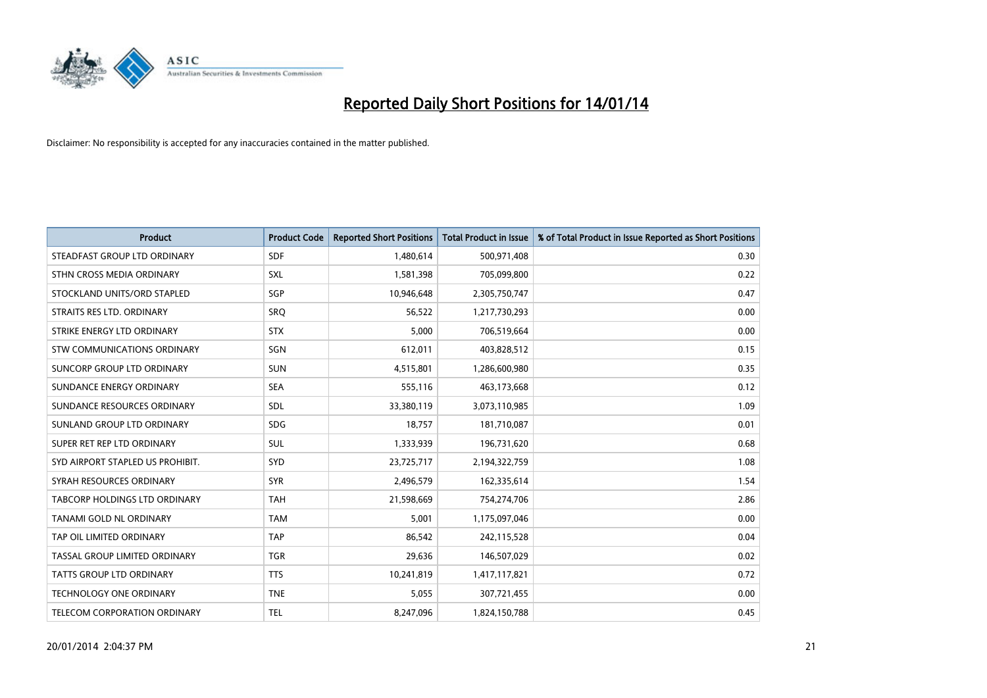

| <b>Product</b>                       | <b>Product Code</b> | <b>Reported Short Positions</b> | <b>Total Product in Issue</b> | % of Total Product in Issue Reported as Short Positions |
|--------------------------------------|---------------------|---------------------------------|-------------------------------|---------------------------------------------------------|
| STEADFAST GROUP LTD ORDINARY         | <b>SDF</b>          | 1,480,614                       | 500,971,408                   | 0.30                                                    |
| STHN CROSS MEDIA ORDINARY            | <b>SXL</b>          | 1,581,398                       | 705,099,800                   | 0.22                                                    |
| STOCKLAND UNITS/ORD STAPLED          | SGP                 | 10,946,648                      | 2,305,750,747                 | 0.47                                                    |
| STRAITS RES LTD. ORDINARY            | <b>SRQ</b>          | 56,522                          | 1,217,730,293                 | 0.00                                                    |
| STRIKE ENERGY LTD ORDINARY           | <b>STX</b>          | 5,000                           | 706,519,664                   | 0.00                                                    |
| STW COMMUNICATIONS ORDINARY          | SGN                 | 612,011                         | 403,828,512                   | 0.15                                                    |
| SUNCORP GROUP LTD ORDINARY           | <b>SUN</b>          | 4,515,801                       | 1,286,600,980                 | 0.35                                                    |
| SUNDANCE ENERGY ORDINARY             | <b>SEA</b>          | 555,116                         | 463,173,668                   | 0.12                                                    |
| SUNDANCE RESOURCES ORDINARY          | SDL                 | 33,380,119                      | 3,073,110,985                 | 1.09                                                    |
| SUNLAND GROUP LTD ORDINARY           | <b>SDG</b>          | 18,757                          | 181,710,087                   | 0.01                                                    |
| SUPER RET REP LTD ORDINARY           | SUL                 | 1,333,939                       | 196,731,620                   | 0.68                                                    |
| SYD AIRPORT STAPLED US PROHIBIT.     | <b>SYD</b>          | 23,725,717                      | 2,194,322,759                 | 1.08                                                    |
| SYRAH RESOURCES ORDINARY             | <b>SYR</b>          | 2,496,579                       | 162,335,614                   | 1.54                                                    |
| <b>TABCORP HOLDINGS LTD ORDINARY</b> | <b>TAH</b>          | 21,598,669                      | 754,274,706                   | 2.86                                                    |
| TANAMI GOLD NL ORDINARY              | <b>TAM</b>          | 5,001                           | 1,175,097,046                 | 0.00                                                    |
| TAP OIL LIMITED ORDINARY             | <b>TAP</b>          | 86,542                          | 242,115,528                   | 0.04                                                    |
| TASSAL GROUP LIMITED ORDINARY        | <b>TGR</b>          | 29,636                          | 146,507,029                   | 0.02                                                    |
| <b>TATTS GROUP LTD ORDINARY</b>      | <b>TTS</b>          | 10,241,819                      | 1,417,117,821                 | 0.72                                                    |
| <b>TECHNOLOGY ONE ORDINARY</b>       | <b>TNE</b>          | 5,055                           | 307,721,455                   | 0.00                                                    |
| TELECOM CORPORATION ORDINARY         | <b>TEL</b>          | 8,247,096                       | 1,824,150,788                 | 0.45                                                    |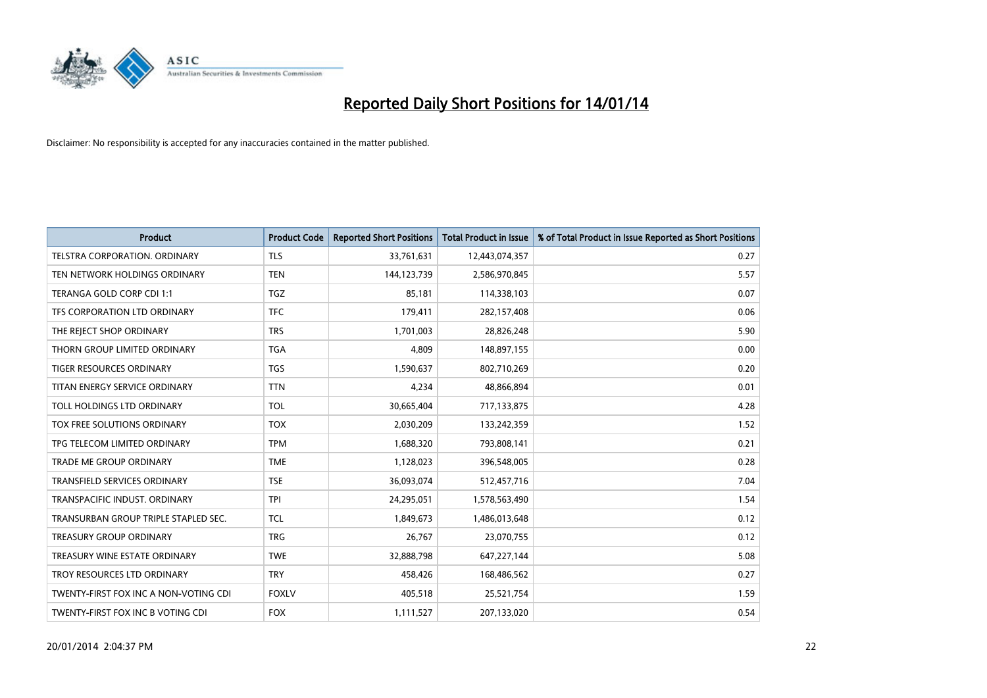

| <b>Product</b>                        | <b>Product Code</b> | <b>Reported Short Positions</b> | <b>Total Product in Issue</b> | % of Total Product in Issue Reported as Short Positions |
|---------------------------------------|---------------------|---------------------------------|-------------------------------|---------------------------------------------------------|
| TELSTRA CORPORATION, ORDINARY         | <b>TLS</b>          | 33,761,631                      | 12,443,074,357                | 0.27                                                    |
| TEN NETWORK HOLDINGS ORDINARY         | <b>TEN</b>          | 144,123,739                     | 2,586,970,845                 | 5.57                                                    |
| TERANGA GOLD CORP CDI 1:1             | <b>TGZ</b>          | 85,181                          | 114,338,103                   | 0.07                                                    |
| TFS CORPORATION LTD ORDINARY          | <b>TFC</b>          | 179,411                         | 282,157,408                   | 0.06                                                    |
| THE REJECT SHOP ORDINARY              | <b>TRS</b>          | 1,701,003                       | 28,826,248                    | 5.90                                                    |
| THORN GROUP LIMITED ORDINARY          | <b>TGA</b>          | 4,809                           | 148,897,155                   | 0.00                                                    |
| <b>TIGER RESOURCES ORDINARY</b>       | <b>TGS</b>          | 1,590,637                       | 802,710,269                   | 0.20                                                    |
| TITAN ENERGY SERVICE ORDINARY         | <b>TTN</b>          | 4,234                           | 48,866,894                    | 0.01                                                    |
| TOLL HOLDINGS LTD ORDINARY            | <b>TOL</b>          | 30,665,404                      | 717,133,875                   | 4.28                                                    |
| TOX FREE SOLUTIONS ORDINARY           | <b>TOX</b>          | 2,030,209                       | 133,242,359                   | 1.52                                                    |
| TPG TELECOM LIMITED ORDINARY          | <b>TPM</b>          | 1,688,320                       | 793,808,141                   | 0.21                                                    |
| <b>TRADE ME GROUP ORDINARY</b>        | <b>TME</b>          | 1,128,023                       | 396,548,005                   | 0.28                                                    |
| TRANSFIELD SERVICES ORDINARY          | <b>TSE</b>          | 36,093,074                      | 512,457,716                   | 7.04                                                    |
| TRANSPACIFIC INDUST, ORDINARY         | <b>TPI</b>          | 24,295,051                      | 1,578,563,490                 | 1.54                                                    |
| TRANSURBAN GROUP TRIPLE STAPLED SEC.  | <b>TCL</b>          | 1,849,673                       | 1,486,013,648                 | 0.12                                                    |
| <b>TREASURY GROUP ORDINARY</b>        | <b>TRG</b>          | 26,767                          | 23,070,755                    | 0.12                                                    |
| TREASURY WINE ESTATE ORDINARY         | <b>TWE</b>          | 32,888,798                      | 647,227,144                   | 5.08                                                    |
| TROY RESOURCES LTD ORDINARY           | <b>TRY</b>          | 458,426                         | 168,486,562                   | 0.27                                                    |
| TWENTY-FIRST FOX INC A NON-VOTING CDI | <b>FOXLV</b>        | 405,518                         | 25,521,754                    | 1.59                                                    |
| TWENTY-FIRST FOX INC B VOTING CDI     | <b>FOX</b>          | 1,111,527                       | 207,133,020                   | 0.54                                                    |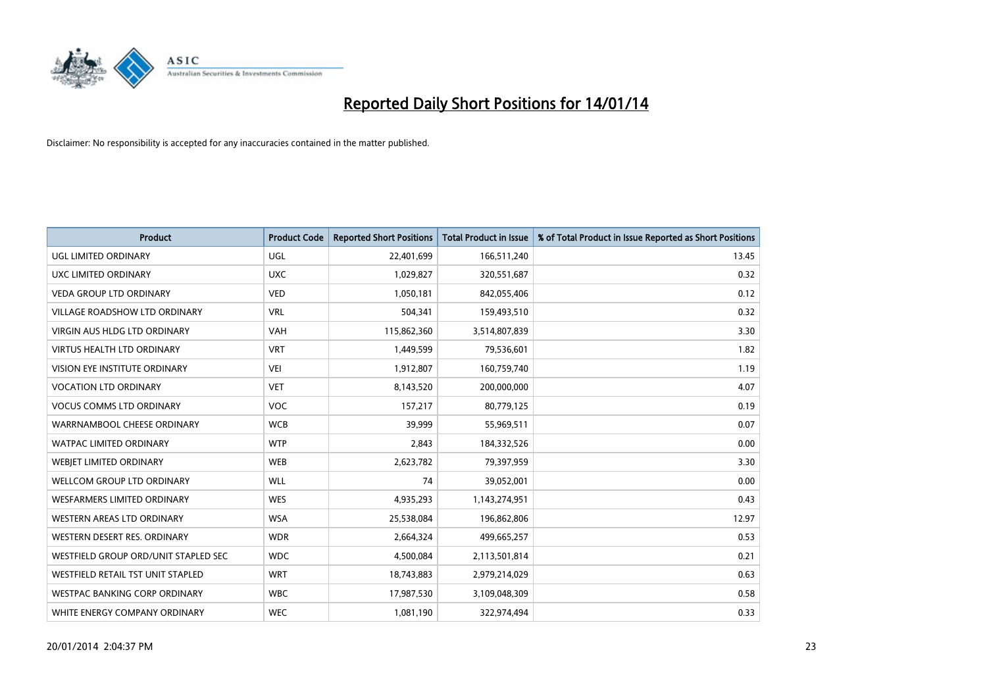

| <b>Product</b>                       | <b>Product Code</b> | <b>Reported Short Positions</b> | <b>Total Product in Issue</b> | % of Total Product in Issue Reported as Short Positions |
|--------------------------------------|---------------------|---------------------------------|-------------------------------|---------------------------------------------------------|
| <b>UGL LIMITED ORDINARY</b>          | UGL                 | 22,401,699                      | 166,511,240                   | 13.45                                                   |
| UXC LIMITED ORDINARY                 | <b>UXC</b>          | 1,029,827                       | 320,551,687                   | 0.32                                                    |
| <b>VEDA GROUP LTD ORDINARY</b>       | <b>VED</b>          | 1,050,181                       | 842,055,406                   | 0.12                                                    |
| <b>VILLAGE ROADSHOW LTD ORDINARY</b> | <b>VRL</b>          | 504,341                         | 159,493,510                   | 0.32                                                    |
| <b>VIRGIN AUS HLDG LTD ORDINARY</b>  | <b>VAH</b>          | 115,862,360                     | 3,514,807,839                 | 3.30                                                    |
| <b>VIRTUS HEALTH LTD ORDINARY</b>    | <b>VRT</b>          | 1,449,599                       | 79,536,601                    | 1.82                                                    |
| <b>VISION EYE INSTITUTE ORDINARY</b> | <b>VEI</b>          | 1,912,807                       | 160,759,740                   | 1.19                                                    |
| <b>VOCATION LTD ORDINARY</b>         | <b>VET</b>          | 8,143,520                       | 200,000,000                   | 4.07                                                    |
| <b>VOCUS COMMS LTD ORDINARY</b>      | VOC                 | 157,217                         | 80,779,125                    | 0.19                                                    |
| WARRNAMBOOL CHEESE ORDINARY          | <b>WCB</b>          | 39,999                          | 55,969,511                    | 0.07                                                    |
| WATPAC LIMITED ORDINARY              | <b>WTP</b>          | 2,843                           | 184,332,526                   | 0.00                                                    |
| WEBIET LIMITED ORDINARY              | <b>WEB</b>          | 2,623,782                       | 79,397,959                    | 3.30                                                    |
| <b>WELLCOM GROUP LTD ORDINARY</b>    | <b>WLL</b>          | 74                              | 39,052,001                    | 0.00                                                    |
| <b>WESFARMERS LIMITED ORDINARY</b>   | <b>WES</b>          | 4,935,293                       | 1,143,274,951                 | 0.43                                                    |
| <b>WESTERN AREAS LTD ORDINARY</b>    | <b>WSA</b>          | 25,538,084                      | 196,862,806                   | 12.97                                                   |
| WESTERN DESERT RES. ORDINARY         | <b>WDR</b>          | 2,664,324                       | 499,665,257                   | 0.53                                                    |
| WESTFIELD GROUP ORD/UNIT STAPLED SEC | <b>WDC</b>          | 4,500,084                       | 2,113,501,814                 | 0.21                                                    |
| WESTFIELD RETAIL TST UNIT STAPLED    | <b>WRT</b>          | 18,743,883                      | 2,979,214,029                 | 0.63                                                    |
| WESTPAC BANKING CORP ORDINARY        | <b>WBC</b>          | 17,987,530                      | 3,109,048,309                 | 0.58                                                    |
| WHITE ENERGY COMPANY ORDINARY        | <b>WEC</b>          | 1,081,190                       | 322,974,494                   | 0.33                                                    |